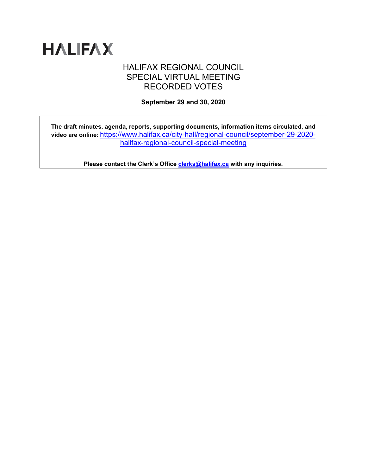

# HALIFAX REGIONAL COUNCIL SPECIAL VIRTUAL MEETING RECORDED VOTES

**September 29 and 30, 2020**

**The draft minutes, agenda, reports, supporting documents, information items circulated, and video are online:** [https://www.halifax.ca/city-hall/regional-council/september-29-2020](https://www.halifax.ca/city-hall/regional-council/september-29-2020-halifax-regional-council-special-meeting) [halifax-regional-council-special-meeting](https://www.halifax.ca/city-hall/regional-council/september-29-2020-halifax-regional-council-special-meeting)

**Please contact the Clerk's Office [clerks@halifax.ca](mailto:clerks@halifax.ca) with any inquiries.**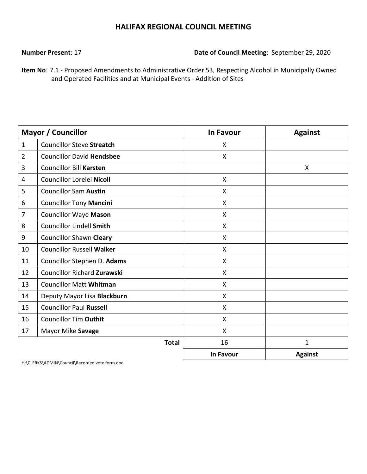**Number Present**: 17 **Date of Council Meeting**: September 29, 2020

**Item No**: 7.1 - Proposed Amendments to Administrative Order 53, Respecting Alcohol in Municipally Owned and Operated Facilities and at Municipal Events - Addition of Sites

|                | <b>Mayor / Councillor</b>          | <b>In Favour</b>          | <b>Against</b> |
|----------------|------------------------------------|---------------------------|----------------|
| $\mathbf{1}$   | <b>Councillor Steve Streatch</b>   | X                         |                |
| $\overline{2}$ | <b>Councillor David Hendsbee</b>   | $\boldsymbol{\mathsf{X}}$ |                |
| 3              | <b>Councillor Bill Karsten</b>     |                           | X              |
| 4              | Councillor Lorelei Nicoll          | X                         |                |
| 5              | <b>Councillor Sam Austin</b>       | $\mathsf{X}$              |                |
| 6              | <b>Councillor Tony Mancini</b>     | X                         |                |
| 7              | <b>Councillor Waye Mason</b>       | $\mathsf{X}$              |                |
| 8              | Councillor Lindell Smith           | $\mathsf{X}$              |                |
| 9              | <b>Councillor Shawn Cleary</b>     | $\mathsf{X}$              |                |
| 10             | <b>Councillor Russell Walker</b>   | X                         |                |
| 11             | Councillor Stephen D. Adams        | X                         |                |
| 12             | <b>Councillor Richard Zurawski</b> | X                         |                |
| 13             | <b>Councillor Matt Whitman</b>     | $\mathsf{X}$              |                |
| 14             | Deputy Mayor Lisa Blackburn        | $\mathsf{X}$              |                |
| 15             | <b>Councillor Paul Russell</b>     | $\mathsf{X}$              |                |
| 16             | <b>Councillor Tim Outhit</b>       | X                         |                |
| 17             | Mayor Mike Savage                  | $\mathsf{X}$              |                |
|                | <b>Total</b>                       | 16                        | $\mathbf 1$    |
|                |                                    | <b>In Favour</b>          | <b>Against</b> |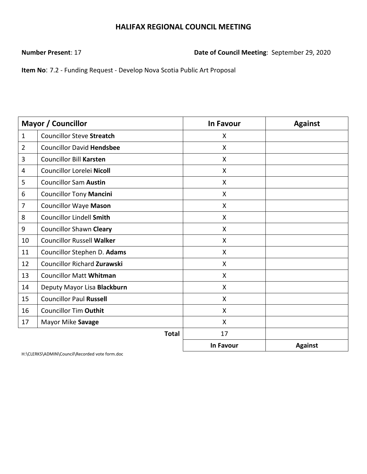**Number Present**: 17 **Date of Council Meeting**: September 29, 2020

**Item No**: 7.2 - Funding Request - Develop Nova Scotia Public Art Proposal

|                | Mayor / Councillor                 | <b>In Favour</b>          | <b>Against</b> |
|----------------|------------------------------------|---------------------------|----------------|
| $\mathbf{1}$   | <b>Councillor Steve Streatch</b>   | X                         |                |
| $\overline{2}$ | <b>Councillor David Hendsbee</b>   | $\mathsf{X}$              |                |
| 3              | <b>Councillor Bill Karsten</b>     | X                         |                |
| 4              | Councillor Lorelei Nicoll          | X                         |                |
| 5              | <b>Councillor Sam Austin</b>       | $\mathsf{X}$              |                |
| 6              | <b>Councillor Tony Mancini</b>     | $\boldsymbol{\mathsf{X}}$ |                |
| $\overline{7}$ | <b>Councillor Waye Mason</b>       | $\mathsf{X}$              |                |
| 8              | <b>Councillor Lindell Smith</b>    | X                         |                |
| 9              | <b>Councillor Shawn Cleary</b>     | $\boldsymbol{\mathsf{X}}$ |                |
| 10             | <b>Councillor Russell Walker</b>   | X                         |                |
| 11             | Councillor Stephen D. Adams        | X                         |                |
| 12             | <b>Councillor Richard Zurawski</b> | $\boldsymbol{\mathsf{X}}$ |                |
| 13             | <b>Councillor Matt Whitman</b>     | $\boldsymbol{\mathsf{X}}$ |                |
| 14             | Deputy Mayor Lisa Blackburn        | X                         |                |
| 15             | <b>Councillor Paul Russell</b>     | $\mathsf{X}$              |                |
| 16             | <b>Councillor Tim Outhit</b>       | $\boldsymbol{\mathsf{X}}$ |                |
| 17             | Mayor Mike Savage                  | X                         |                |
|                | <b>Total</b>                       | 17                        |                |
|                |                                    | In Favour                 | <b>Against</b> |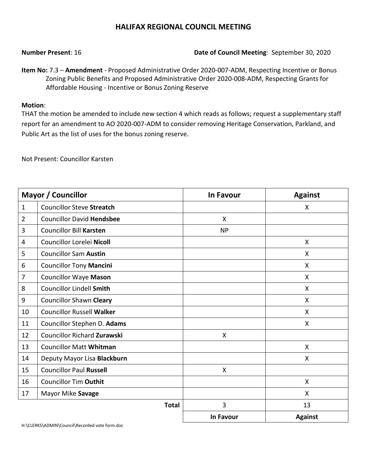#### **Number Present**: 16 **Date of Council Meeting**: September 30, 2020

**Item No:** 7.3 – **Amendment** - Proposed Administrative Order 2020-007-ADM, Respecting Incentive or Bonus Zoning Public Benefits and Proposed Administrative Order 2020-008-ADM, Respecting Grants for Affordable Housing - Incentive or Bonus Zoning Reserve

#### **Motion**:

THAT the motion be amended to include new section 4 which reads as follows; request a supplementary staff report for an amendment to AO 2020-007-ADM to consider removing Heritage Conservation, Parkland, and Public Art as the list of uses for the bonus zoning reserve.

Not Present: Councillor Karsten

| <b>Mayor / Councillor</b> |                                    | <b>In Favour</b> | <b>Against</b> |
|---------------------------|------------------------------------|------------------|----------------|
| $\mathbf{1}$              | <b>Councillor Steve Streatch</b>   |                  | X              |
| $\overline{2}$            | <b>Councillor David Hendsbee</b>   | X                |                |
| 3                         | <b>Councillor Bill Karsten</b>     | <b>NP</b>        |                |
| 4                         | Councillor Lorelei Nicoll          |                  | X              |
| 5                         | <b>Councillor Sam Austin</b>       |                  | X              |
| 6                         | <b>Councillor Tony Mancini</b>     |                  | X              |
| $\overline{7}$            | <b>Councillor Waye Mason</b>       |                  | X              |
| 8                         | <b>Councillor Lindell Smith</b>    |                  | $\mathsf{X}$   |
| 9                         | <b>Councillor Shawn Cleary</b>     |                  | X              |
| 10                        | <b>Councillor Russell Walker</b>   |                  | X              |
| 11                        | Councillor Stephen D. Adams        |                  | X              |
| 12                        | <b>Councillor Richard Zurawski</b> | X                |                |
| 13                        | <b>Councillor Matt Whitman</b>     |                  | X              |
| 14                        | Deputy Mayor Lisa Blackburn        |                  | X              |
| 15                        | <b>Councillor Paul Russell</b>     | X                |                |
| 16                        | <b>Councillor Tim Outhit</b>       |                  | X              |
| 17                        | Mayor Mike Savage                  |                  | X              |
|                           | <b>Total</b>                       | 3                | 13             |
|                           |                                    | <b>In Favour</b> | <b>Against</b> |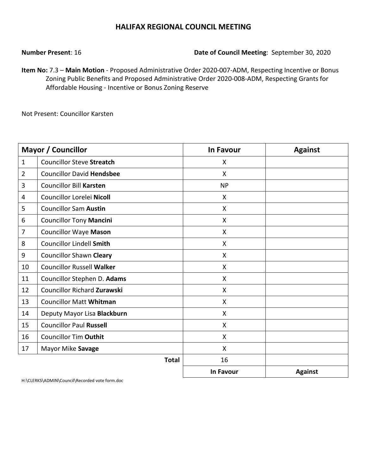#### **Number Present**: 16 **Date of Council Meeting**: September 30, 2020

**Item No:** 7.3 – **Main Motion** - Proposed Administrative Order 2020-007-ADM, Respecting Incentive or Bonus Zoning Public Benefits and Proposed Administrative Order 2020-008-ADM, Respecting Grants for Affordable Housing - Incentive or Bonus Zoning Reserve

Not Present: Councillor Karsten

|                | <b>Mayor / Councillor</b>        | <b>In Favour</b>          | <b>Against</b> |
|----------------|----------------------------------|---------------------------|----------------|
| $\mathbf{1}$   | <b>Councillor Steve Streatch</b> | X                         |                |
| $\overline{2}$ | <b>Councillor David Hendsbee</b> | $\boldsymbol{\mathsf{X}}$ |                |
| 3              | <b>Councillor Bill Karsten</b>   | <b>NP</b>                 |                |
| 4              | Councillor Lorelei Nicoll        | X                         |                |
| 5              | <b>Councillor Sam Austin</b>     | $\boldsymbol{\mathsf{X}}$ |                |
| 6              | <b>Councillor Tony Mancini</b>   | X                         |                |
| 7              | <b>Councillor Waye Mason</b>     | $\boldsymbol{\mathsf{X}}$ |                |
| 8              | <b>Councillor Lindell Smith</b>  | $\boldsymbol{\mathsf{X}}$ |                |
| 9              | <b>Councillor Shawn Cleary</b>   | X                         |                |
| 10             | <b>Councillor Russell Walker</b> | X                         |                |
| 11             | Councillor Stephen D. Adams      | X                         |                |
| 12             | Councillor Richard Zurawski      | X                         |                |
| 13             | <b>Councillor Matt Whitman</b>   | $\boldsymbol{\mathsf{X}}$ |                |
| 14             | Deputy Mayor Lisa Blackburn      | $\mathsf{X}$              |                |
| 15             | <b>Councillor Paul Russell</b>   | X                         |                |
| 16             | <b>Councillor Tim Outhit</b>     | X                         |                |
| 17             | Mayor Mike Savage                | $\mathsf{X}$              |                |
|                | <b>Total</b>                     | 16                        |                |
|                |                                  | <b>In Favour</b>          | <b>Against</b> |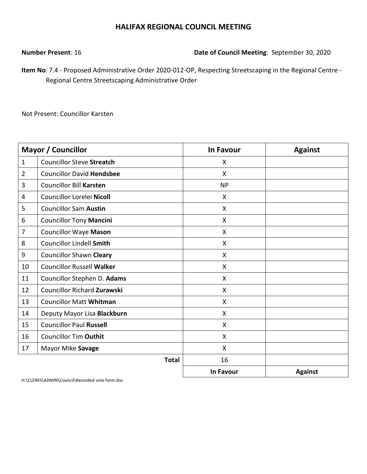**Number Present**: 16 **Date of Council Meeting**: September 30, 2020

**Item No**: 7.4 - Proposed Administrative Order 2020-012-OP, Respecting Streetscaping in the Regional Centre - Regional Centre Streetscaping Administrative Order

Not Present: Councillor Karsten

|                | <b>Mayor / Councillor</b>          | <b>In Favour</b> | <b>Against</b> |
|----------------|------------------------------------|------------------|----------------|
| $\mathbf{1}$   | <b>Councillor Steve Streatch</b>   | X                |                |
| $\overline{2}$ | <b>Councillor David Hendsbee</b>   | X                |                |
| 3              | <b>Councillor Bill Karsten</b>     | <b>NP</b>        |                |
| 4              | Councillor Lorelei Nicoll          | X                |                |
| 5              | <b>Councillor Sam Austin</b>       | X                |                |
| 6              | <b>Councillor Tony Mancini</b>     | X                |                |
| 7              | <b>Councillor Waye Mason</b>       | X                |                |
| 8              | <b>Councillor Lindell Smith</b>    | X                |                |
| 9              | <b>Councillor Shawn Cleary</b>     | X                |                |
| 10             | <b>Councillor Russell Walker</b>   | X                |                |
| 11             | Councillor Stephen D. Adams        | $\mathsf{X}$     |                |
| 12             | <b>Councillor Richard Zurawski</b> | X                |                |
| 13             | <b>Councillor Matt Whitman</b>     | X                |                |
| 14             | Deputy Mayor Lisa Blackburn        | X                |                |
| 15             | <b>Councillor Paul Russell</b>     | X                |                |
| 16             | <b>Councillor Tim Outhit</b>       | X                |                |
| 17             | Mayor Mike Savage                  | $\mathsf{X}$     |                |
|                | <b>Total</b>                       | 16               |                |
|                |                                    | <b>In Favour</b> | <b>Against</b> |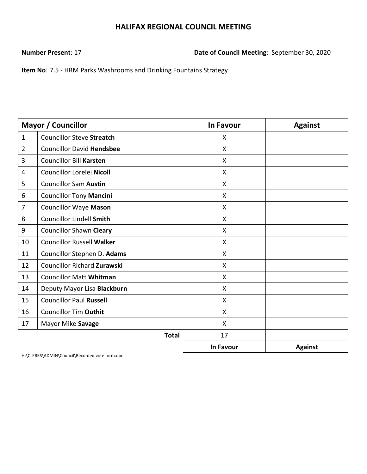**Number Present**: 17 **Date of Council Meeting**: September 30, 2020

**Item No**: 7.5 - HRM Parks Washrooms and Drinking Fountains Strategy

|                | <b>Mayor / Councillor</b>          | <b>In Favour</b>          | <b>Against</b> |
|----------------|------------------------------------|---------------------------|----------------|
| $\mathbf{1}$   | <b>Councillor Steve Streatch</b>   | X                         |                |
| $\overline{2}$ | <b>Councillor David Hendsbee</b>   | $\boldsymbol{\mathsf{X}}$ |                |
| 3              | <b>Councillor Bill Karsten</b>     | X                         |                |
| 4              | Councillor Lorelei Nicoll          | X                         |                |
| 5              | <b>Councillor Sam Austin</b>       | $\boldsymbol{\mathsf{X}}$ |                |
| 6              | <b>Councillor Tony Mancini</b>     | $\boldsymbol{\mathsf{X}}$ |                |
| $\overline{7}$ | <b>Councillor Waye Mason</b>       | $\mathsf{X}$              |                |
| 8              | <b>Councillor Lindell Smith</b>    | $\boldsymbol{\mathsf{X}}$ |                |
| 9              | <b>Councillor Shawn Cleary</b>     | $\mathsf{X}$              |                |
| 10             | <b>Councillor Russell Walker</b>   | X                         |                |
| 11             | Councillor Stephen D. Adams        | X                         |                |
| 12             | <b>Councillor Richard Zurawski</b> | $\boldsymbol{\mathsf{X}}$ |                |
| 13             | <b>Councillor Matt Whitman</b>     | X                         |                |
| 14             | Deputy Mayor Lisa Blackburn        | X                         |                |
| 15             | <b>Councillor Paul Russell</b>     | $\mathsf{X}$              |                |
| 16             | <b>Councillor Tim Outhit</b>       | $\boldsymbol{\mathsf{X}}$ |                |
| 17             | Mayor Mike Savage                  | X                         |                |
|                | <b>Total</b>                       | 17                        |                |
|                |                                    | In Favour                 | <b>Against</b> |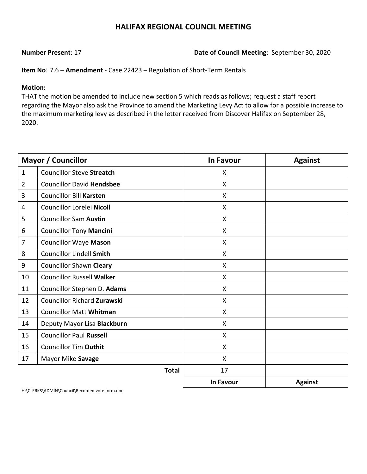### **Number Present**: 17 **Date of Council Meeting**: September 30, 2020

**Item No**: 7.6 – **Amendment** - Case 22423 – Regulation of Short-Term Rentals

#### **Motion:**

THAT the motion be amended to include new section 5 which reads as follows; request a staff report regarding the Mayor also ask the Province to amend the Marketing Levy Act to allow for a possible increase to the maximum marketing levy as described in the letter received from Discover Halifax on September 28, 2020.

|                | <b>Mayor / Councillor</b>          | <b>In Favour</b> | <b>Against</b> |
|----------------|------------------------------------|------------------|----------------|
| $\mathbf{1}$   | <b>Councillor Steve Streatch</b>   | X                |                |
| $\overline{2}$ | <b>Councillor David Hendsbee</b>   | X                |                |
| 3              | <b>Councillor Bill Karsten</b>     | X                |                |
| 4              | Councillor Lorelei Nicoll          | X                |                |
| 5              | <b>Councillor Sam Austin</b>       | X                |                |
| 6              | <b>Councillor Tony Mancini</b>     | X                |                |
| $\overline{7}$ | <b>Councillor Waye Mason</b>       | X                |                |
| 8              | <b>Councillor Lindell Smith</b>    | X                |                |
| 9              | <b>Councillor Shawn Cleary</b>     | X                |                |
| 10             | <b>Councillor Russell Walker</b>   | X                |                |
| 11             | Councillor Stephen D. Adams        | X                |                |
| 12             | <b>Councillor Richard Zurawski</b> | X                |                |
| 13             | <b>Councillor Matt Whitman</b>     | X                |                |
| 14             | Deputy Mayor Lisa Blackburn        | X                |                |
| 15             | <b>Councillor Paul Russell</b>     | X                |                |
| 16             | <b>Councillor Tim Outhit</b>       | X                |                |
| 17             | Mayor Mike Savage                  | X                |                |
|                | <b>Total</b>                       | 17               |                |
|                |                                    | <b>In Favour</b> | <b>Against</b> |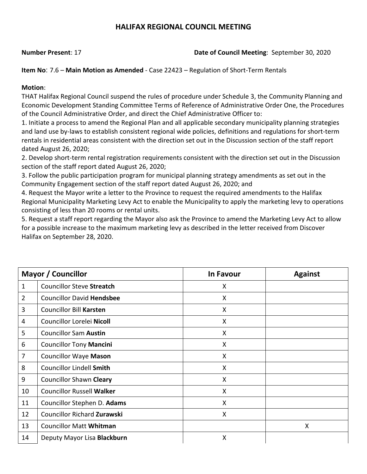### **Number Present**: 17 **Date of Council Meeting**: September 30, 2020

**Item No**: 7.6 – **Main Motion as Amended** - Case 22423 – Regulation of Short-Term Rentals

### **Motion**:

THAT Halifax Regional Council suspend the rules of procedure under Schedule 3, the Community Planning and Economic Development Standing Committee Terms of Reference of Administrative Order One, the Procedures of the Council Administrative Order, and direct the Chief Administrative Officer to:

1. Initiate a process to amend the Regional Plan and all applicable secondary municipality planning strategies and land use by-laws to establish consistent regional wide policies, definitions and regulations for short-term rentals in residential areas consistent with the direction set out in the Discussion section of the staff report dated August 26, 2020;

2. Develop short-term rental registration requirements consistent with the direction set out in the Discussion section of the staff report dated August 26, 2020;

3. Follow the public participation program for municipal planning strategy amendments as set out in the Community Engagement section of the staff report dated August 26, 2020; and

4. Request the Mayor write a letter to the Province to request the required amendments to the Halifax Regional Municipality Marketing Levy Act to enable the Municipality to apply the marketing levy to operations consisting of less than 20 rooms or rental units.

5. Request a staff report regarding the Mayor also ask the Province to amend the Marketing Levy Act to allow for a possible increase to the maximum marketing levy as described in the letter received from Discover Halifax on September 28, 2020.

|                | <b>Mayor / Councillor</b>          | <b>In Favour</b> | <b>Against</b> |
|----------------|------------------------------------|------------------|----------------|
| 1              | <b>Councillor Steve Streatch</b>   | X                |                |
| $\overline{2}$ | <b>Councillor David Hendsbee</b>   | X                |                |
| 3              | <b>Councillor Bill Karsten</b>     | X                |                |
| 4              | Councillor Lorelei Nicoll          | X                |                |
| 5              | <b>Councillor Sam Austin</b>       | X                |                |
| 6              | <b>Councillor Tony Mancini</b>     | X                |                |
| 7              | <b>Councillor Waye Mason</b>       | X                |                |
| 8              | <b>Councillor Lindell Smith</b>    | X                |                |
| 9              | <b>Councillor Shawn Cleary</b>     | X                |                |
| 10             | <b>Councillor Russell Walker</b>   | X                |                |
| 11             | Councillor Stephen D. Adams        | X                |                |
| 12             | <b>Councillor Richard Zurawski</b> | X                |                |
| 13             | <b>Councillor Matt Whitman</b>     |                  | Χ              |
| 14             | Deputy Mayor Lisa Blackburn        | X                |                |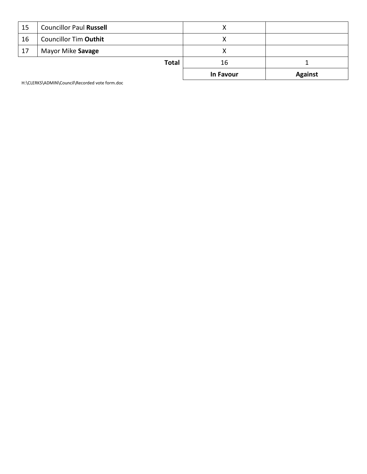|    |                                | In Favour | <b>Against</b> |
|----|--------------------------------|-----------|----------------|
|    | <b>Total</b>                   | 16        |                |
| 17 | Mayor Mike Savage              |           |                |
| 16 | <b>Councillor Tim Outhit</b>   |           |                |
| 15 | <b>Councillor Paul Russell</b> | $\lambda$ |                |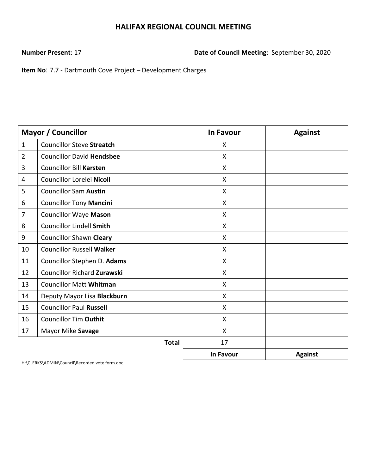**Number Present**: 17 **Date of Council Meeting**: September 30, 2020

**Item No**: 7.7 - Dartmouth Cove Project – Development Charges

|                | <b>Mayor / Councillor</b>          | <b>In Favour</b> | <b>Against</b> |
|----------------|------------------------------------|------------------|----------------|
| $\mathbf{1}$   | <b>Councillor Steve Streatch</b>   | X                |                |
| $\overline{2}$ | <b>Councillor David Hendsbee</b>   | X                |                |
| 3              | <b>Councillor Bill Karsten</b>     | X                |                |
| 4              | Councillor Lorelei Nicoll          | X                |                |
| 5              | <b>Councillor Sam Austin</b>       | X                |                |
| 6              | <b>Councillor Tony Mancini</b>     | $\mathsf{X}$     |                |
| $\overline{7}$ | <b>Councillor Waye Mason</b>       | $\mathsf{X}$     |                |
| 8              | <b>Councillor Lindell Smith</b>    | $\mathsf{X}$     |                |
| 9              | <b>Councillor Shawn Cleary</b>     | $\mathsf{X}$     |                |
| 10             | <b>Councillor Russell Walker</b>   | X                |                |
| 11             | Councillor Stephen D. Adams        | X                |                |
| 12             | <b>Councillor Richard Zurawski</b> | X                |                |
| 13             | <b>Councillor Matt Whitman</b>     | $\mathsf{X}$     |                |
| 14             | Deputy Mayor Lisa Blackburn        | X                |                |
| 15             | <b>Councillor Paul Russell</b>     | X                |                |
| 16             | <b>Councillor Tim Outhit</b>       | X                |                |
| 17             | Mayor Mike Savage                  | $\mathsf{X}$     |                |
|                | <b>Total</b>                       | 17               |                |
|                |                                    | <b>In Favour</b> | <b>Against</b> |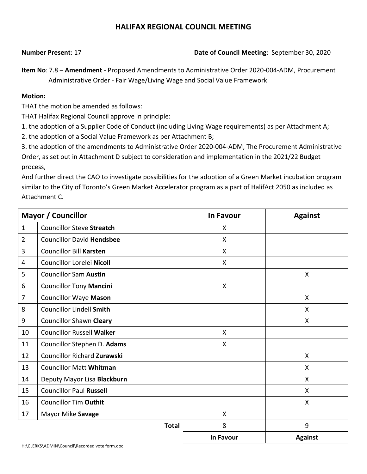### **Number Present**: 17 **Date of Council Meeting**: September 30, 2020

**Item No**: 7.8 – **Amendment** - Proposed Amendments to Administrative Order 2020-004-ADM, Procurement Administrative Order - Fair Wage/Living Wage and Social Value Framework

#### **Motion:**

THAT the motion be amended as follows:

THAT Halifax Regional Council approve in principle:

1. the adoption of a Supplier Code of Conduct (including Living Wage requirements) as per Attachment A;

2. the adoption of a Social Value Framework as per Attachment B;

3. the adoption of the amendments to Administrative Order 2020-004-ADM, The Procurement Administrative Order, as set out in Attachment D subject to consideration and implementation in the 2021/22 Budget process,

And further direct the CAO to investigate possibilities for the adoption of a Green Market incubation program similar to the City of Toronto's Green Market Accelerator program as a part of HalifAct 2050 as included as Attachment C.

|                | <b>Mayor / Councillor</b>          | <b>In Favour</b> | <b>Against</b> |
|----------------|------------------------------------|------------------|----------------|
| $\mathbf{1}$   | <b>Councillor Steve Streatch</b>   | X                |                |
| $\overline{2}$ | <b>Councillor David Hendsbee</b>   | X                |                |
| 3              | <b>Councillor Bill Karsten</b>     | X                |                |
| 4              | Councillor Lorelei Nicoll          | X                |                |
| 5              | <b>Councillor Sam Austin</b>       |                  | X              |
| 6              | <b>Councillor Tony Mancini</b>     | $\mathsf{X}$     |                |
| 7              | <b>Councillor Waye Mason</b>       |                  | X              |
| 8              | <b>Councillor Lindell Smith</b>    |                  | X              |
| 9              | <b>Councillor Shawn Cleary</b>     |                  | X              |
| 10             | <b>Councillor Russell Walker</b>   | X                |                |
| 11             | Councillor Stephen D. Adams        | X                |                |
| 12             | <b>Councillor Richard Zurawski</b> |                  | X              |
| 13             | <b>Councillor Matt Whitman</b>     |                  | X              |
| 14             | Deputy Mayor Lisa Blackburn        |                  | X              |
| 15             | <b>Councillor Paul Russell</b>     |                  | X              |
| 16             | <b>Councillor Tim Outhit</b>       |                  | X              |
| 17             | Mayor Mike Savage                  | X                |                |
|                | <b>Total</b>                       | 8                | 9              |
|                |                                    | In Favour        | <b>Against</b> |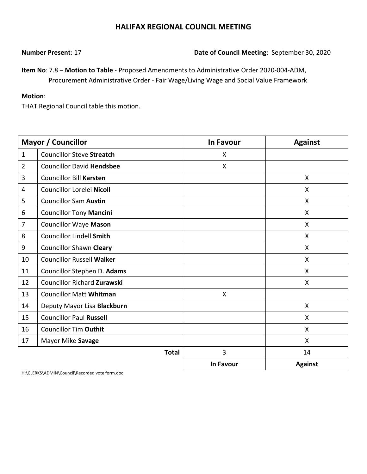**Number Present**: 17 **Date of Council Meeting**: September 30, 2020

**Item No**: 7.8 – **Motion to Table** - Proposed Amendments to Administrative Order 2020-004-ADM, Procurement Administrative Order - Fair Wage/Living Wage and Social Value Framework

### **Motion**:

THAT Regional Council table this motion.

|                | <b>Mayor / Councillor</b>          | <b>In Favour</b> | <b>Against</b> |
|----------------|------------------------------------|------------------|----------------|
| $\mathbf{1}$   | <b>Councillor Steve Streatch</b>   | X                |                |
| $\overline{2}$ | <b>Councillor David Hendsbee</b>   | X                |                |
| 3              | <b>Councillor Bill Karsten</b>     |                  | X              |
| 4              | Councillor Lorelei Nicoll          |                  | X              |
| 5              | <b>Councillor Sam Austin</b>       |                  | $\mathsf{X}$   |
| 6              | <b>Councillor Tony Mancini</b>     |                  | $\mathsf{X}$   |
| 7              | <b>Councillor Waye Mason</b>       |                  | $\mathsf{X}$   |
| 8              | <b>Councillor Lindell Smith</b>    |                  | X              |
| 9              | <b>Councillor Shawn Cleary</b>     |                  | X              |
| 10             | <b>Councillor Russell Walker</b>   |                  | X              |
| 11             | Councillor Stephen D. Adams        |                  | X              |
| 12             | <b>Councillor Richard Zurawski</b> |                  | $\mathsf{X}$   |
| 13             | <b>Councillor Matt Whitman</b>     | $\mathsf{X}$     |                |
| 14             | Deputy Mayor Lisa Blackburn        |                  | X              |
| 15             | <b>Councillor Paul Russell</b>     |                  | X              |
| 16             | <b>Councillor Tim Outhit</b>       |                  | X              |
| 17             | Mayor Mike Savage                  |                  | X              |
|                | <b>Total</b>                       | 3                | 14             |
|                |                                    | In Favour        | <b>Against</b> |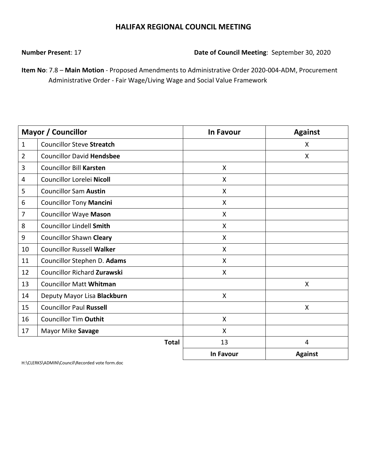**Number Present**: 17 **Date of Council Meeting**: September 30, 2020

**Item No**: 7.8 – **Main Motion** - Proposed Amendments to Administrative Order 2020-004-ADM, Procurement Administrative Order - Fair Wage/Living Wage and Social Value Framework

|                | <b>Mayor / Councillor</b>          | <b>In Favour</b>          | <b>Against</b> |
|----------------|------------------------------------|---------------------------|----------------|
| $\mathbf{1}$   | <b>Councillor Steve Streatch</b>   |                           | X              |
| $\overline{2}$ | <b>Councillor David Hendsbee</b>   |                           | X              |
| 3              | <b>Councillor Bill Karsten</b>     | X                         |                |
| 4              | Councillor Lorelei Nicoll          | $\boldsymbol{\mathsf{X}}$ |                |
| 5              | <b>Councillor Sam Austin</b>       | $\boldsymbol{\mathsf{X}}$ |                |
| 6              | <b>Councillor Tony Mancini</b>     | X                         |                |
| $\overline{7}$ | <b>Councillor Waye Mason</b>       | X                         |                |
| 8              | <b>Councillor Lindell Smith</b>    | $\mathsf{X}$              |                |
| 9              | <b>Councillor Shawn Cleary</b>     | $\boldsymbol{\mathsf{X}}$ |                |
| 10             | <b>Councillor Russell Walker</b>   | X                         |                |
| 11             | Councillor Stephen D. Adams        | X                         |                |
| 12             | <b>Councillor Richard Zurawski</b> | X                         |                |
| 13             | <b>Councillor Matt Whitman</b>     |                           | X              |
| 14             | Deputy Mayor Lisa Blackburn        | X                         |                |
| 15             | <b>Councillor Paul Russell</b>     |                           | X              |
| 16             | <b>Councillor Tim Outhit</b>       | $\boldsymbol{\mathsf{X}}$ |                |
| 17             | Mayor Mike Savage                  | $\mathsf{X}$              |                |
|                | <b>Total</b>                       | 13                        | $\overline{4}$ |
|                |                                    | In Favour                 | <b>Against</b> |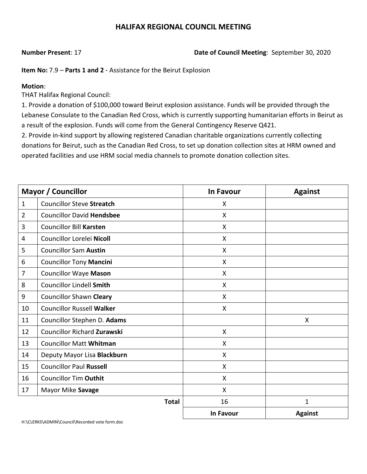**Number Present**: 17 **Date of Council Meeting**: September 30, 2020

**Item No:** 7.9 – **Parts 1 and 2** - Assistance for the Beirut Explosion

### **Motion**:

THAT Halifax Regional Council:

1. Provide a donation of \$100,000 toward Beirut explosion assistance. Funds will be provided through the Lebanese Consulate to the Canadian Red Cross, which is currently supporting humanitarian efforts in Beirut as a result of the explosion. Funds will come from the General Contingency Reserve Q421.

2. Provide in-kind support by allowing registered Canadian charitable organizations currently collecting donations for Beirut, such as the Canadian Red Cross, to set up donation collection sites at HRM owned and operated facilities and use HRM social media channels to promote donation collection sites.

|                | <b>Mayor / Councillor</b>          | <b>In Favour</b>   | <b>Against</b> |
|----------------|------------------------------------|--------------------|----------------|
| $\mathbf{1}$   | <b>Councillor Steve Streatch</b>   | X                  |                |
| $\overline{2}$ | <b>Councillor David Hendsbee</b>   | X                  |                |
| 3              | <b>Councillor Bill Karsten</b>     | X                  |                |
| 4              | Councillor Lorelei Nicoll          | X                  |                |
| 5              | <b>Councillor Sam Austin</b>       | X                  |                |
| 6              | <b>Councillor Tony Mancini</b>     | $\mathsf{X}$       |                |
| $\overline{7}$ | <b>Councillor Waye Mason</b>       | X                  |                |
| 8              | <b>Councillor Lindell Smith</b>    | $\pmb{\mathsf{X}}$ |                |
| 9              | <b>Councillor Shawn Cleary</b>     | X                  |                |
| 10             | <b>Councillor Russell Walker</b>   | X                  |                |
| 11             | Councillor Stephen D. Adams        |                    | X              |
| 12             | <b>Councillor Richard Zurawski</b> | X                  |                |
| 13             | <b>Councillor Matt Whitman</b>     | X                  |                |
| 14             | Deputy Mayor Lisa Blackburn        | X                  |                |
| 15             | <b>Councillor Paul Russell</b>     | X                  |                |
| 16             | <b>Councillor Tim Outhit</b>       | X                  |                |
| 17             | Mayor Mike Savage                  | X                  |                |
|                | <b>Total</b>                       | 16                 | $\mathbf{1}$   |
|                |                                    | <b>In Favour</b>   | <b>Against</b> |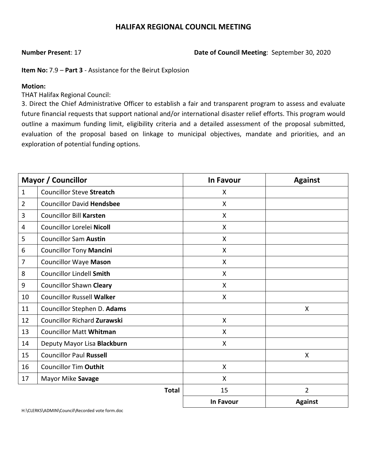**Number Present**: 17 **Date of Council Meeting**: September 30, 2020

**Item No:** 7.9 – **Part 3** - Assistance for the Beirut Explosion

#### **Motion:**

THAT Halifax Regional Council:

3. Direct the Chief Administrative Officer to establish a fair and transparent program to assess and evaluate future financial requests that support national and/or international disaster relief efforts. This program would outline a maximum funding limit, eligibility criteria and a detailed assessment of the proposal submitted, evaluation of the proposal based on linkage to municipal objectives, mandate and priorities, and an exploration of potential funding options.

|                | <b>Mayor / Councillor</b>          | <b>In Favour</b> | <b>Against</b> |
|----------------|------------------------------------|------------------|----------------|
| $\mathbf{1}$   | <b>Councillor Steve Streatch</b>   | X                |                |
| $\overline{2}$ | <b>Councillor David Hendsbee</b>   | X                |                |
| 3              | <b>Councillor Bill Karsten</b>     | X                |                |
| 4              | Councillor Lorelei Nicoll          | X                |                |
| 5              | <b>Councillor Sam Austin</b>       | X                |                |
| 6              | <b>Councillor Tony Mancini</b>     | X                |                |
| $\overline{7}$ | <b>Councillor Waye Mason</b>       | X                |                |
| 8              | <b>Councillor Lindell Smith</b>    | X                |                |
| 9              | <b>Councillor Shawn Cleary</b>     | X                |                |
| 10             | <b>Councillor Russell Walker</b>   | X                |                |
| 11             | Councillor Stephen D. Adams        |                  | X              |
| 12             | <b>Councillor Richard Zurawski</b> | X                |                |
| 13             | <b>Councillor Matt Whitman</b>     | X                |                |
| 14             | Deputy Mayor Lisa Blackburn        | X                |                |
| 15             | <b>Councillor Paul Russell</b>     |                  | X              |
| 16             | <b>Councillor Tim Outhit</b>       | X                |                |
| 17             | Mayor Mike Savage                  | X                |                |
|                | <b>Total</b>                       | 15               | $\overline{2}$ |
|                |                                    | In Favour        | <b>Against</b> |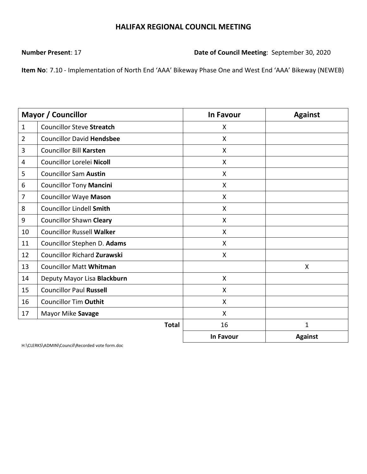**Number Present**: 17 **Date of Council Meeting**: September 30, 2020

**Item No**: 7.10 - Implementation of North End 'AAA' Bikeway Phase One and West End 'AAA' Bikeway (NEWEB)

|                | <b>Mayor / Councillor</b>          | <b>In Favour</b>          | <b>Against</b> |
|----------------|------------------------------------|---------------------------|----------------|
| $\mathbf{1}$   | <b>Councillor Steve Streatch</b>   | X                         |                |
| $\overline{2}$ | <b>Councillor David Hendsbee</b>   | $\boldsymbol{\mathsf{X}}$ |                |
| 3              | <b>Councillor Bill Karsten</b>     | $\mathsf{X}$              |                |
| 4              | Councillor Lorelei Nicoll          | X                         |                |
| 5              | <b>Councillor Sam Austin</b>       | X                         |                |
| 6              | <b>Councillor Tony Mancini</b>     | X                         |                |
| $\overline{7}$ | <b>Councillor Waye Mason</b>       | X                         |                |
| 8              | <b>Councillor Lindell Smith</b>    | X                         |                |
| 9              | <b>Councillor Shawn Cleary</b>     | $\mathsf{X}$              |                |
| 10             | <b>Councillor Russell Walker</b>   | $\boldsymbol{\mathsf{X}}$ |                |
| 11             | Councillor Stephen D. Adams        | $\boldsymbol{\mathsf{X}}$ |                |
| 12             | <b>Councillor Richard Zurawski</b> | $\sf X$                   |                |
| 13             | <b>Councillor Matt Whitman</b>     |                           | X              |
| 14             | Deputy Mayor Lisa Blackburn        | X                         |                |
| 15             | <b>Councillor Paul Russell</b>     | $\mathsf{X}$              |                |
| 16             | <b>Councillor Tim Outhit</b>       | X                         |                |
| 17             | Mayor Mike Savage                  | X                         |                |
|                | <b>Total</b>                       | 16                        | $\mathbf 1$    |
|                |                                    | <b>In Favour</b>          | <b>Against</b> |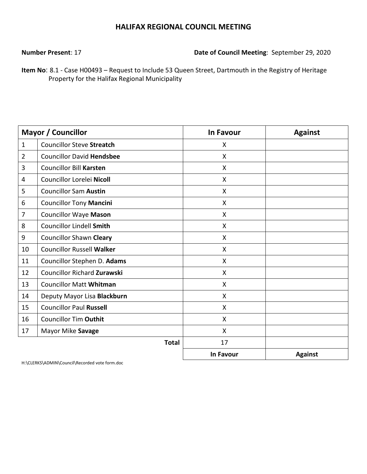**Number Present**: 17 **Date of Council Meeting**: September 29, 2020

**Item No**: 8.1 - Case H00493 – Request to Include 53 Queen Street, Dartmouth in the Registry of Heritage Property for the Halifax Regional Municipality

|                | <b>Mayor / Councillor</b>          | <b>In Favour</b> | <b>Against</b> |
|----------------|------------------------------------|------------------|----------------|
| $\mathbf{1}$   | <b>Councillor Steve Streatch</b>   | X                |                |
| $\overline{2}$ | <b>Councillor David Hendsbee</b>   | X                |                |
| 3              | <b>Councillor Bill Karsten</b>     | X                |                |
| 4              | Councillor Lorelei Nicoll          | X                |                |
| 5              | <b>Councillor Sam Austin</b>       | $\mathsf{X}$     |                |
| 6              | <b>Councillor Tony Mancini</b>     | $\mathsf{X}$     |                |
| 7              | <b>Councillor Waye Mason</b>       | $\mathsf{X}$     |                |
| 8              | <b>Councillor Lindell Smith</b>    | $\mathsf{X}$     |                |
| 9              | <b>Councillor Shawn Cleary</b>     | $\mathsf{X}$     |                |
| 10             | <b>Councillor Russell Walker</b>   | X                |                |
| 11             | Councillor Stephen D. Adams        | X                |                |
| 12             | <b>Councillor Richard Zurawski</b> | X                |                |
| 13             | <b>Councillor Matt Whitman</b>     | $\mathsf{X}$     |                |
| 14             | Deputy Mayor Lisa Blackburn        | X                |                |
| 15             | <b>Councillor Paul Russell</b>     | $\mathsf{X}$     |                |
| 16             | <b>Councillor Tim Outhit</b>       | X                |                |
| 17             | Mayor Mike Savage                  | $\mathsf{X}$     |                |
|                | <b>Total</b>                       | 17               |                |
|                |                                    | <b>In Favour</b> | <b>Against</b> |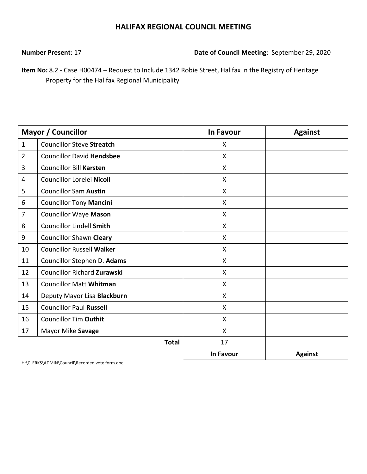**Number Present**: 17 **Date of Council Meeting**: September 29, 2020

**Item No:** 8.2 - Case H00474 – Request to Include 1342 Robie Street, Halifax in the Registry of Heritage Property for the Halifax Regional Municipality

|                | <b>Mayor / Councillor</b>          | <b>In Favour</b>          | <b>Against</b> |
|----------------|------------------------------------|---------------------------|----------------|
| $\mathbf{1}$   | <b>Councillor Steve Streatch</b>   | X                         |                |
| $\overline{2}$ | <b>Councillor David Hendsbee</b>   | $\boldsymbol{\mathsf{X}}$ |                |
| 3              | <b>Councillor Bill Karsten</b>     | X                         |                |
| 4              | Councillor Lorelei Nicoll          | X                         |                |
| 5              | <b>Councillor Sam Austin</b>       | $\boldsymbol{\mathsf{X}}$ |                |
| 6              | <b>Councillor Tony Mancini</b>     | $\boldsymbol{\mathsf{X}}$ |                |
| $\overline{7}$ | <b>Councillor Waye Mason</b>       | $\mathsf{X}$              |                |
| 8              | <b>Councillor Lindell Smith</b>    | $\boldsymbol{\mathsf{X}}$ |                |
| 9              | <b>Councillor Shawn Cleary</b>     | $\mathsf{X}$              |                |
| 10             | <b>Councillor Russell Walker</b>   | X                         |                |
| 11             | Councillor Stephen D. Adams        | X                         |                |
| 12             | <b>Councillor Richard Zurawski</b> | $\boldsymbol{\mathsf{X}}$ |                |
| 13             | <b>Councillor Matt Whitman</b>     | $\boldsymbol{\mathsf{X}}$ |                |
| 14             | Deputy Mayor Lisa Blackburn        | $\boldsymbol{\mathsf{X}}$ |                |
| 15             | <b>Councillor Paul Russell</b>     | $\mathsf{X}$              |                |
| 16             | <b>Councillor Tim Outhit</b>       | $\mathsf{X}$              |                |
| 17             | Mayor Mike Savage                  | $\boldsymbol{\mathsf{X}}$ |                |
|                | <b>Total</b>                       | 17                        |                |
|                |                                    | <b>In Favour</b>          | <b>Against</b> |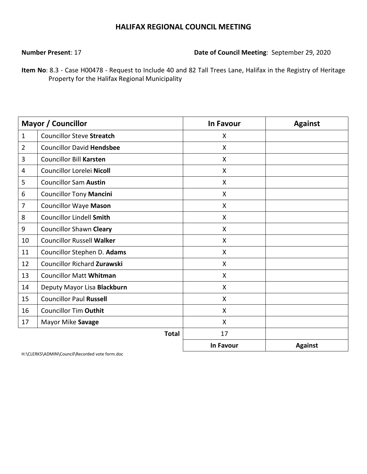**Number Present**: 17 **Date of Council Meeting**: September 29, 2020

**Item No**: 8.3 - Case H00478 - Request to Include 40 and 82 Tall Trees Lane, Halifax in the Registry of Heritage Property for the Halifax Regional Municipality

|                | <b>Mayor / Councillor</b>          | <b>In Favour</b>          | <b>Against</b> |
|----------------|------------------------------------|---------------------------|----------------|
| $\mathbf{1}$   | <b>Councillor Steve Streatch</b>   | X                         |                |
| $\overline{2}$ | <b>Councillor David Hendsbee</b>   | $\boldsymbol{\mathsf{X}}$ |                |
| 3              | <b>Councillor Bill Karsten</b>     | X                         |                |
| 4              | Councillor Lorelei Nicoll          | $\sf X$                   |                |
| 5              | <b>Councillor Sam Austin</b>       | $\boldsymbol{\mathsf{X}}$ |                |
| 6              | <b>Councillor Tony Mancini</b>     | $\boldsymbol{\mathsf{X}}$ |                |
| 7              | <b>Councillor Waye Mason</b>       | X                         |                |
| 8              | <b>Councillor Lindell Smith</b>    | $\mathsf{X}$              |                |
| 9              | <b>Councillor Shawn Cleary</b>     | X                         |                |
| 10             | <b>Councillor Russell Walker</b>   | X                         |                |
| 11             | Councillor Stephen D. Adams        | $\sf X$                   |                |
| 12             | <b>Councillor Richard Zurawski</b> | $\boldsymbol{\mathsf{X}}$ |                |
| 13             | <b>Councillor Matt Whitman</b>     | $\boldsymbol{\mathsf{X}}$ |                |
| 14             | Deputy Mayor Lisa Blackburn        | X                         |                |
| 15             | <b>Councillor Paul Russell</b>     | $\mathsf{X}$              |                |
| 16             | <b>Councillor Tim Outhit</b>       | $\boldsymbol{\mathsf{X}}$ |                |
| 17             | Mayor Mike Savage                  | X                         |                |
|                | <b>Total</b>                       | 17                        |                |
|                |                                    | <b>In Favour</b>          | <b>Against</b> |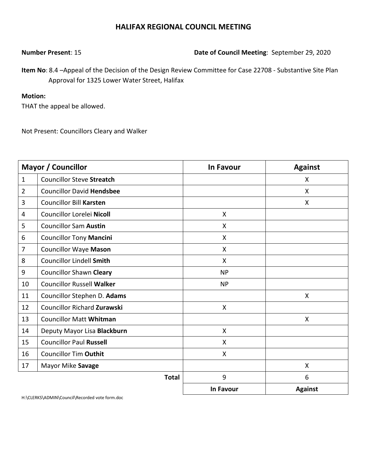**Number Present**: 15 **Date of Council Meeting**: September 29, 2020

**Item No**: 8.4 –Appeal of the Decision of the Design Review Committee for Case 22708 - Substantive Site Plan Approval for 1325 Lower Water Street, Halifax

### **Motion:**

THAT the appeal be allowed.

Not Present: Councillors Cleary and Walker

|                | <b>Mayor / Councillor</b>          | <b>In Favour</b> | <b>Against</b> |
|----------------|------------------------------------|------------------|----------------|
| $\mathbf{1}$   | <b>Councillor Steve Streatch</b>   |                  | X              |
| $\overline{2}$ | <b>Councillor David Hendsbee</b>   |                  | $\mathsf{X}$   |
| 3              | <b>Councillor Bill Karsten</b>     |                  | X              |
| 4              | Councillor Lorelei Nicoll          | $\mathsf{X}$     |                |
| 5              | <b>Councillor Sam Austin</b>       | $\mathsf{X}$     |                |
| 6              | <b>Councillor Tony Mancini</b>     | X                |                |
| 7              | <b>Councillor Waye Mason</b>       | X                |                |
| 8              | <b>Councillor Lindell Smith</b>    | $\mathsf{X}$     |                |
| 9              | <b>Councillor Shawn Cleary</b>     | <b>NP</b>        |                |
| 10             | <b>Councillor Russell Walker</b>   | <b>NP</b>        |                |
| 11             | Councillor Stephen D. Adams        |                  | $\mathsf{X}$   |
| 12             | <b>Councillor Richard Zurawski</b> | X                |                |
| 13             | <b>Councillor Matt Whitman</b>     |                  | X              |
| 14             | Deputy Mayor Lisa Blackburn        | X                |                |
| 15             | <b>Councillor Paul Russell</b>     | X                |                |
| 16             | <b>Councillor Tim Outhit</b>       | X                |                |
| 17             | Mayor Mike Savage                  |                  | X              |
|                | <b>Total</b>                       | 9                | 6              |
|                |                                    | <b>In Favour</b> | <b>Against</b> |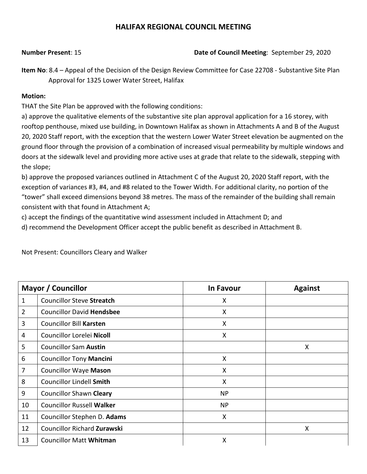**Number Present**: 15 **Date of Council Meeting**: September 29, 2020

**Item No**: 8.4 – Appeal of the Decision of the Design Review Committee for Case 22708 - Substantive Site Plan Approval for 1325 Lower Water Street, Halifax

### **Motion:**

THAT the Site Plan be approved with the following conditions:

a) approve the qualitative elements of the substantive site plan approval application for a 16 storey, with rooftop penthouse, mixed use building, in Downtown Halifax as shown in Attachments A and B of the August 20, 2020 Staff report, with the exception that the western Lower Water Street elevation be augmented on the ground floor through the provision of a combination of increased visual permeability by multiple windows and doors at the sidewalk level and providing more active uses at grade that relate to the sidewalk, stepping with the slope;

b) approve the proposed variances outlined in Attachment C of the August 20, 2020 Staff report, with the exception of variances #3, #4, and #8 related to the Tower Width. For additional clarity, no portion of the "tower" shall exceed dimensions beyond 38 metres. The mass of the remainder of the building shall remain consistent with that found in Attachment A;

c) accept the findings of the quantitative wind assessment included in Attachment D; and

d) recommend the Development Officer accept the public benefit as described in Attachment B.

|                | <b>Mayor / Councillor</b>          | <b>In Favour</b>          | <b>Against</b> |
|----------------|------------------------------------|---------------------------|----------------|
| $\mathbf{1}$   | <b>Councillor Steve Streatch</b>   | X                         |                |
| $\overline{2}$ | <b>Councillor David Hendsbee</b>   | $\boldsymbol{\mathsf{X}}$ |                |
| 3              | <b>Councillor Bill Karsten</b>     | $\boldsymbol{\mathsf{X}}$ |                |
| 4              | Councillor Lorelei Nicoll          | X                         |                |
| 5              | <b>Councillor Sam Austin</b>       |                           | X              |
| 6              | <b>Councillor Tony Mancini</b>     | X                         |                |
| $\overline{7}$ | <b>Councillor Waye Mason</b>       | $\boldsymbol{\mathsf{X}}$ |                |
| 8              | <b>Councillor Lindell Smith</b>    | $\boldsymbol{\mathsf{X}}$ |                |
| 9              | <b>Councillor Shawn Cleary</b>     | <b>NP</b>                 |                |
| 10             | <b>Councillor Russell Walker</b>   | <b>NP</b>                 |                |
| 11             | Councillor Stephen D. Adams        | X                         |                |
| 12             | <b>Councillor Richard Zurawski</b> |                           | X              |
| 13             | <b>Councillor Matt Whitman</b>     | X                         |                |

Not Present: Councillors Cleary and Walker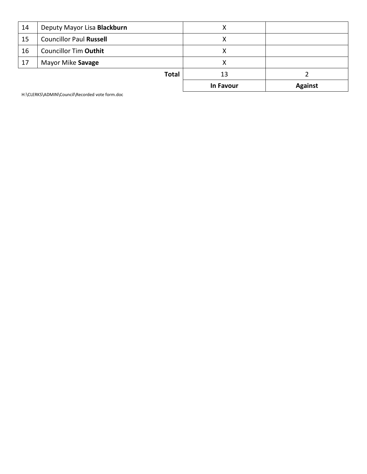|    |                                | In Favour | <b>Against</b> |
|----|--------------------------------|-----------|----------------|
|    | Total                          | 13        |                |
| 17 | Mayor Mike Savage              | χ         |                |
| 16 | <b>Councillor Tim Outhit</b>   | x         |                |
| 15 | <b>Councillor Paul Russell</b> | x         |                |
| 14 | Deputy Mayor Lisa Blackburn    | х         |                |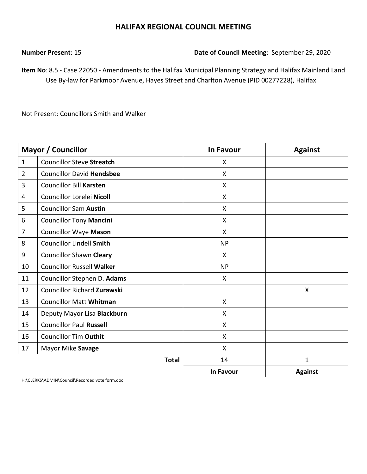**Number Present**: 15 **Date of Council Meeting**: September 29, 2020

**Item No**: 8.5 - Case 22050 - Amendments to the Halifax Municipal Planning Strategy and Halifax Mainland Land Use By-law for Parkmoor Avenue, Hayes Street and Charlton Avenue (PID 00277228), Halifax

Not Present: Councillors Smith and Walker

|                | <b>Mayor / Councillor</b>          | <b>In Favour</b> | <b>Against</b> |
|----------------|------------------------------------|------------------|----------------|
| $\mathbf{1}$   | <b>Councillor Steve Streatch</b>   | X                |                |
| $\overline{2}$ | <b>Councillor David Hendsbee</b>   | X                |                |
| 3              | <b>Councillor Bill Karsten</b>     | X                |                |
| 4              | Councillor Lorelei Nicoll          | X                |                |
| 5              | <b>Councillor Sam Austin</b>       | X                |                |
| 6              | <b>Councillor Tony Mancini</b>     | X                |                |
| 7              | <b>Councillor Waye Mason</b>       | $\mathsf{X}$     |                |
| 8              | <b>Councillor Lindell Smith</b>    | <b>NP</b>        |                |
| 9              | <b>Councillor Shawn Cleary</b>     | X                |                |
| 10             | <b>Councillor Russell Walker</b>   | <b>NP</b>        |                |
| 11             | Councillor Stephen D. Adams        | X                |                |
| 12             | <b>Councillor Richard Zurawski</b> |                  | X              |
| 13             | <b>Councillor Matt Whitman</b>     | $\mathsf{X}$     |                |
| 14             | Deputy Mayor Lisa Blackburn        | X                |                |
| 15             | <b>Councillor Paul Russell</b>     | X                |                |
| 16             | <b>Councillor Tim Outhit</b>       | X                |                |
| 17             | Mayor Mike Savage                  | X                |                |
|                | <b>Total</b>                       | 14               | $\mathbf{1}$   |
|                |                                    | <b>In Favour</b> | <b>Against</b> |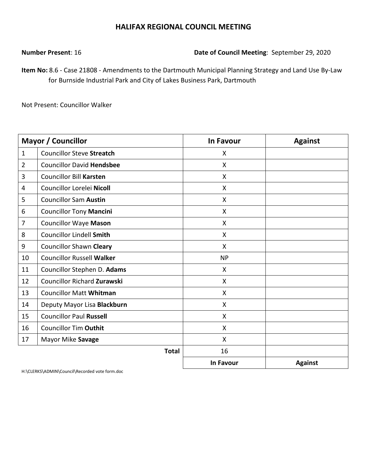**Number Present**: 16 **Date of Council Meeting**: September 29, 2020

**Item No:** 8.6 - Case 21808 - Amendments to the Dartmouth Municipal Planning Strategy and Land Use By-Law for Burnside Industrial Park and City of Lakes Business Park, Dartmouth

Not Present: Councillor Walker

|                | <b>Mayor / Councillor</b>          | In Favour                 | <b>Against</b> |
|----------------|------------------------------------|---------------------------|----------------|
| $\mathbf{1}$   | <b>Councillor Steve Streatch</b>   | X                         |                |
| $\overline{2}$ | <b>Councillor David Hendsbee</b>   | X                         |                |
| $\overline{3}$ | <b>Councillor Bill Karsten</b>     | X                         |                |
| $\overline{4}$ | Councillor Lorelei Nicoll          | X                         |                |
| 5              | <b>Councillor Sam Austin</b>       | X                         |                |
| 6              | <b>Councillor Tony Mancini</b>     | X                         |                |
| $\overline{7}$ | <b>Councillor Waye Mason</b>       | $\boldsymbol{\mathsf{X}}$ |                |
| 8              | <b>Councillor Lindell Smith</b>    | X                         |                |
| 9              | <b>Councillor Shawn Cleary</b>     | $\mathsf{X}$              |                |
| 10             | <b>Councillor Russell Walker</b>   | <b>NP</b>                 |                |
| 11             | Councillor Stephen D. Adams        | X                         |                |
| 12             | <b>Councillor Richard Zurawski</b> | X                         |                |
| 13             | <b>Councillor Matt Whitman</b>     | $\boldsymbol{\mathsf{X}}$ |                |
| 14             | Deputy Mayor Lisa Blackburn        | X                         |                |
| 15             | <b>Councillor Paul Russell</b>     | X                         |                |
| 16             | <b>Councillor Tim Outhit</b>       | X                         |                |
| 17             | Mayor Mike Savage                  | $\boldsymbol{\mathsf{X}}$ |                |
|                | <b>Total</b>                       | 16                        |                |
|                |                                    | <b>In Favour</b>          | <b>Against</b> |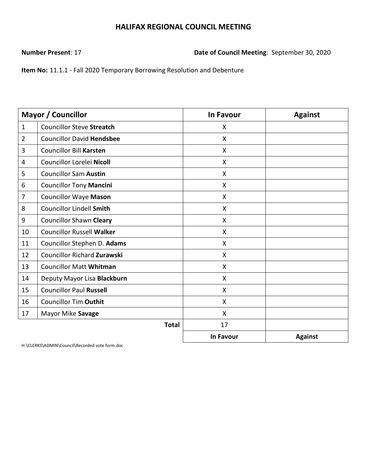**Number Present**: 17 **Date of Council Meeting**: September 30, 2020

**Item No:** 11.1.1 - Fall 2020 Temporary Borrowing Resolution and Debenture

|                | <b>Mayor / Councillor</b>          | <b>In Favour</b>          | <b>Against</b> |
|----------------|------------------------------------|---------------------------|----------------|
| $\mathbf{1}$   | <b>Councillor Steve Streatch</b>   | X                         |                |
| $\overline{2}$ | <b>Councillor David Hendsbee</b>   | X                         |                |
| 3              | <b>Councillor Bill Karsten</b>     | X                         |                |
| 4              | Councillor Lorelei Nicoll          | X                         |                |
| 5              | <b>Councillor Sam Austin</b>       | $\boldsymbol{\mathsf{X}}$ |                |
| 6              | <b>Councillor Tony Mancini</b>     | $\boldsymbol{\mathsf{X}}$ |                |
| 7              | <b>Councillor Waye Mason</b>       | Χ                         |                |
| 8              | Councillor Lindell Smith           | X                         |                |
| 9              | <b>Councillor Shawn Cleary</b>     | $\boldsymbol{\mathsf{X}}$ |                |
| 10             | <b>Councillor Russell Walker</b>   | Χ                         |                |
| 11             | Councillor Stephen D. Adams        | X                         |                |
| 12             | <b>Councillor Richard Zurawski</b> | X                         |                |
| 13             | <b>Councillor Matt Whitman</b>     | $\boldsymbol{\mathsf{X}}$ |                |
| 14             | Deputy Mayor Lisa Blackburn        | $\boldsymbol{\mathsf{X}}$ |                |
| 15             | <b>Councillor Paul Russell</b>     | $\boldsymbol{\mathsf{X}}$ |                |
| 16             | <b>Councillor Tim Outhit</b>       | $\mathsf{X}$              |                |
| 17             | Mayor Mike Savage                  | X                         |                |
|                | <b>Total</b>                       | 17                        |                |
|                |                                    | In Favour                 | <b>Against</b> |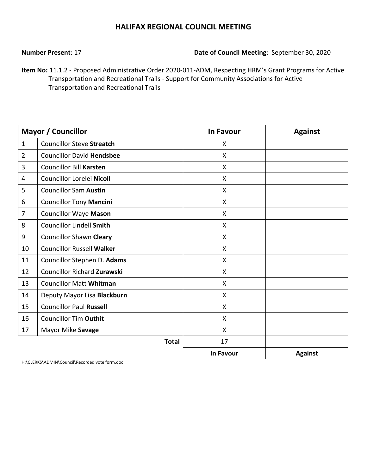### **Number Present**: 17 **Date of Council Meeting**: September 30, 2020

**Item No:** 11.1.2 - Proposed Administrative Order 2020-011-ADM, Respecting HRM's Grant Programs for Active Transportation and Recreational Trails - Support for Community Associations for Active Transportation and Recreational Trails

|                | <b>Mayor / Councillor</b>          | <b>In Favour</b>          | <b>Against</b> |
|----------------|------------------------------------|---------------------------|----------------|
| $\mathbf{1}$   | <b>Councillor Steve Streatch</b>   | X                         |                |
| $\overline{2}$ | <b>Councillor David Hendsbee</b>   | X                         |                |
| 3              | <b>Councillor Bill Karsten</b>     | X                         |                |
| 4              | Councillor Lorelei Nicoll          | X                         |                |
| 5              | <b>Councillor Sam Austin</b>       | $\boldsymbol{\mathsf{X}}$ |                |
| 6              | <b>Councillor Tony Mancini</b>     | $\boldsymbol{\mathsf{X}}$ |                |
| $\overline{7}$ | <b>Councillor Waye Mason</b>       | X                         |                |
| 8              | <b>Councillor Lindell Smith</b>    | X                         |                |
| 9              | <b>Councillor Shawn Cleary</b>     | $\boldsymbol{\mathsf{X}}$ |                |
| 10             | <b>Councillor Russell Walker</b>   | X                         |                |
| 11             | Councillor Stephen D. Adams        | X                         |                |
| 12             | <b>Councillor Richard Zurawski</b> | X                         |                |
| 13             | <b>Councillor Matt Whitman</b>     | $\sf X$                   |                |
| 14             | Deputy Mayor Lisa Blackburn        | $\boldsymbol{\mathsf{X}}$ |                |
| 15             | <b>Councillor Paul Russell</b>     | $\sf X$                   |                |
| 16             | <b>Councillor Tim Outhit</b>       | X                         |                |
| 17             | Mayor Mike Savage                  | $\boldsymbol{\mathsf{X}}$ |                |
|                | <b>Total</b>                       | 17                        |                |
|                |                                    | <b>In Favour</b>          | <b>Against</b> |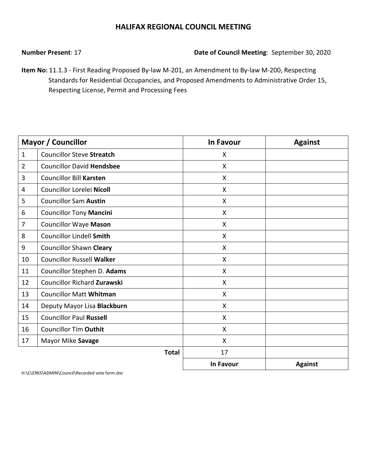**Number Present**: 17 **Date of Council Meeting**: September 30, 2020

**Item No:** 11.1.3 - First Reading Proposed By-law M-201, an Amendment to By-law M-200, Respecting Standards for Residential Occupancies, and Proposed Amendments to Administrative Order 15, Respecting License, Permit and Processing Fees

|                | <b>Mayor / Councillor</b>          | <b>In Favour</b> | <b>Against</b> |
|----------------|------------------------------------|------------------|----------------|
| $\mathbf{1}$   | <b>Councillor Steve Streatch</b>   | X                |                |
| $\overline{2}$ | <b>Councillor David Hendsbee</b>   | X                |                |
| 3              | <b>Councillor Bill Karsten</b>     | X                |                |
| 4              | Councillor Lorelei Nicoll          | X                |                |
| 5              | <b>Councillor Sam Austin</b>       | X                |                |
| 6              | <b>Councillor Tony Mancini</b>     | $\mathsf{X}$     |                |
| 7              | <b>Councillor Waye Mason</b>       | X                |                |
| 8              | <b>Councillor Lindell Smith</b>    | X                |                |
| 9              | <b>Councillor Shawn Cleary</b>     | X                |                |
| 10             | <b>Councillor Russell Walker</b>   | X                |                |
| 11             | Councillor Stephen D. Adams        | $\mathsf{X}$     |                |
| 12             | <b>Councillor Richard Zurawski</b> | $\mathsf{X}$     |                |
| 13             | <b>Councillor Matt Whitman</b>     | $\mathsf{X}$     |                |
| 14             | Deputy Mayor Lisa Blackburn        | X                |                |
| 15             | <b>Councillor Paul Russell</b>     | X                |                |
| 16             | <b>Councillor Tim Outhit</b>       | X                |                |
| 17             | Mayor Mike Savage                  | X                |                |
|                | <b>Total</b>                       | 17               |                |
|                |                                    | In Favour        | <b>Against</b> |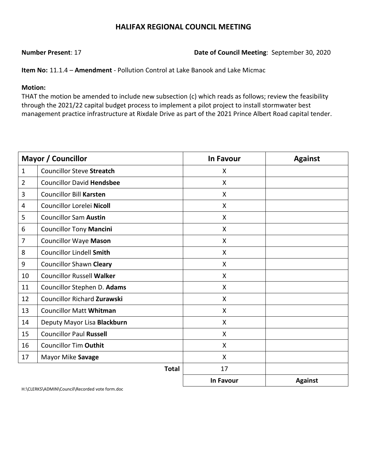### **Number Present**: 17 **Date of Council Meeting**: September 30, 2020

**Item No:** 11.1.4 – **Amendment** - Pollution Control at Lake Banook and Lake Micmac

#### **Motion:**

THAT the motion be amended to include new subsection (c) which reads as follows; review the feasibility through the 2021/22 capital budget process to implement a pilot project to install stormwater best management practice infrastructure at Rixdale Drive as part of the 2021 Prince Albert Road capital tender.

|                | <b>Mayor / Councillor</b>        | <b>In Favour</b> | <b>Against</b> |
|----------------|----------------------------------|------------------|----------------|
| $\mathbf{1}$   | <b>Councillor Steve Streatch</b> | X                |                |
| $\overline{2}$ | <b>Councillor David Hendsbee</b> | $\mathsf{X}$     |                |
| 3              | <b>Councillor Bill Karsten</b>   | X                |                |
| 4              | Councillor Lorelei Nicoll        | X                |                |
| 5              | <b>Councillor Sam Austin</b>     | X                |                |
| 6              | <b>Councillor Tony Mancini</b>   | X                |                |
| $\overline{7}$ | <b>Councillor Waye Mason</b>     | X                |                |
| 8              | <b>Councillor Lindell Smith</b>  | X                |                |
| 9              | <b>Councillor Shawn Cleary</b>   | X                |                |
| 10             | <b>Councillor Russell Walker</b> | X                |                |
| 11             | Councillor Stephen D. Adams      | $\mathsf{X}$     |                |
| 12             | Councillor Richard Zurawski      | $\mathsf{X}$     |                |
| 13             | <b>Councillor Matt Whitman</b>   | X                |                |
| 14             | Deputy Mayor Lisa Blackburn      | $\mathsf{X}$     |                |
| 15             | <b>Councillor Paul Russell</b>   | X                |                |
| 16             | <b>Councillor Tim Outhit</b>     | X                |                |
| 17             | Mayor Mike Savage                | X                |                |
|                | <b>Total</b>                     | 17               |                |
|                |                                  | <b>In Favour</b> | <b>Against</b> |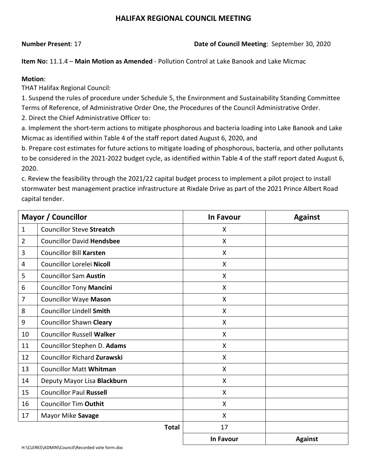### **Number Present**: 17 **Date of Council Meeting**: September 30, 2020

**Item No:** 11.1.4 – **Main Motion as Amended** - Pollution Control at Lake Banook and Lake Micmac

### **Motion**:

THAT Halifax Regional Council:

1. Suspend the rules of procedure under Schedule 5, the Environment and Sustainability Standing Committee Terms of Reference, of Administrative Order One, the Procedures of the Council Administrative Order.

2. Direct the Chief Administrative Officer to:

a. Implement the short-term actions to mitigate phosphorous and bacteria loading into Lake Banook and Lake Micmac as identified within Table 4 of the staff report dated August 6, 2020, and

b. Prepare cost estimates for future actions to mitigate loading of phosphorous, bacteria, and other pollutants to be considered in the 2021-2022 budget cycle, as identified within Table 4 of the staff report dated August 6, 2020.

c. Review the feasibility through the 2021/22 capital budget process to implement a pilot project to install stormwater best management practice infrastructure at Rixdale Drive as part of the 2021 Prince Albert Road capital tender.

|                | <b>Mayor / Councillor</b>          | <b>In Favour</b> | <b>Against</b> |
|----------------|------------------------------------|------------------|----------------|
| $\mathbf{1}$   | <b>Councillor Steve Streatch</b>   | X                |                |
| $\overline{2}$ | <b>Councillor David Hendsbee</b>   | X                |                |
| 3              | <b>Councillor Bill Karsten</b>     | X                |                |
| 4              | Councillor Lorelei Nicoll          | X                |                |
| 5              | <b>Councillor Sam Austin</b>       | X                |                |
| 6              | <b>Councillor Tony Mancini</b>     | X                |                |
| $\overline{7}$ | <b>Councillor Waye Mason</b>       | X                |                |
| 8              | <b>Councillor Lindell Smith</b>    | X                |                |
| 9              | <b>Councillor Shawn Cleary</b>     | X                |                |
| 10             | <b>Councillor Russell Walker</b>   | X                |                |
| 11             | Councillor Stephen D. Adams        | X                |                |
| 12             | <b>Councillor Richard Zurawski</b> | X                |                |
| 13             | <b>Councillor Matt Whitman</b>     | X                |                |
| 14             | Deputy Mayor Lisa Blackburn        | X                |                |
| 15             | <b>Councillor Paul Russell</b>     | X                |                |
| 16             | <b>Councillor Tim Outhit</b>       | X                |                |
| 17             | Mayor Mike Savage                  | X                |                |
|                | <b>Total</b>                       | 17               |                |
|                |                                    | <b>In Favour</b> | <b>Against</b> |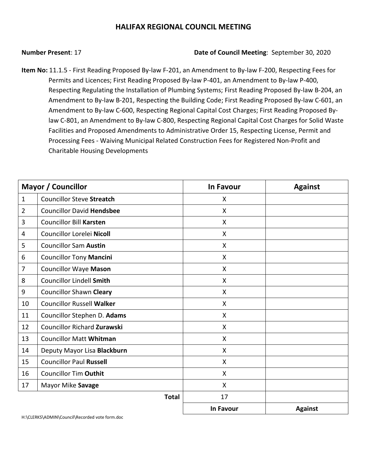#### **Number Present**: 17 **Date of Council Meeting**: September 30, 2020

**Item No:** 11.1.5 - First Reading Proposed By-law F-201, an Amendment to By-law F-200, Respecting Fees for Permits and Licences; First Reading Proposed By-law P-401, an Amendment to By-law P-400, Respecting Regulating the Installation of Plumbing Systems; First Reading Proposed By-law B-204, an Amendment to By-law B-201, Respecting the Building Code; First Reading Proposed By-law C-601, an Amendment to By-law C-600, Respecting Regional Capital Cost Charges; First Reading Proposed Bylaw C-801, an Amendment to By-law C-800, Respecting Regional Capital Cost Charges for Solid Waste Facilities and Proposed Amendments to Administrative Order 15, Respecting License, Permit and Processing Fees - Waiving Municipal Related Construction Fees for Registered Non-Profit and Charitable Housing Developments

|                | <b>Mayor / Councillor</b>        | <b>In Favour</b>          | <b>Against</b> |
|----------------|----------------------------------|---------------------------|----------------|
| $\mathbf{1}$   | <b>Councillor Steve Streatch</b> | X                         |                |
| $\overline{2}$ | <b>Councillor David Hendsbee</b> | X                         |                |
| 3              | <b>Councillor Bill Karsten</b>   | X                         |                |
| 4              | Councillor Lorelei Nicoll        | $\boldsymbol{\mathsf{X}}$ |                |
| 5              | <b>Councillor Sam Austin</b>     | $\boldsymbol{\mathsf{X}}$ |                |
| 6              | <b>Councillor Tony Mancini</b>   | X                         |                |
| $\overline{7}$ | <b>Councillor Waye Mason</b>     | X                         |                |
| 8              | <b>Councillor Lindell Smith</b>  | X                         |                |
| 9              | <b>Councillor Shawn Cleary</b>   | X                         |                |
| 10             | <b>Councillor Russell Walker</b> | X                         |                |
| 11             | Councillor Stephen D. Adams      | $\boldsymbol{\mathsf{X}}$ |                |
| 12             | Councillor Richard Zurawski      | X                         |                |
| 13             | <b>Councillor Matt Whitman</b>   | X                         |                |
| 14             | Deputy Mayor Lisa Blackburn      | X                         |                |
| 15             | <b>Councillor Paul Russell</b>   | $\boldsymbol{\mathsf{X}}$ |                |
| 16             | <b>Councillor Tim Outhit</b>     | X                         |                |
| 17             | Mayor Mike Savage                | X                         |                |
|                | <b>Total</b>                     | 17                        |                |
|                |                                  | <b>In Favour</b>          | <b>Against</b> |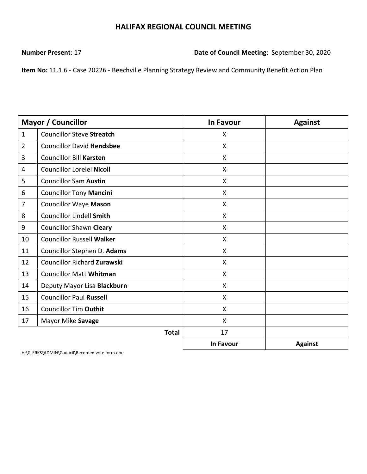**Number Present**: 17 **Date of Council Meeting**: September 30, 2020

**Item No:** 11.1.6 - Case 20226 - Beechville Planning Strategy Review and Community Benefit Action Plan

|                | <b>Mayor / Councillor</b>          | <b>In Favour</b>          | <b>Against</b> |
|----------------|------------------------------------|---------------------------|----------------|
| $\mathbf{1}$   | <b>Councillor Steve Streatch</b>   | X                         |                |
| $\overline{2}$ | <b>Councillor David Hendsbee</b>   | X                         |                |
| 3              | <b>Councillor Bill Karsten</b>     | X                         |                |
| 4              | Councillor Lorelei Nicoll          | $\boldsymbol{\mathsf{X}}$ |                |
| 5              | <b>Councillor Sam Austin</b>       | $\mathsf{X}$              |                |
| 6              | <b>Councillor Tony Mancini</b>     | X                         |                |
| $\overline{7}$ | <b>Councillor Waye Mason</b>       | X                         |                |
| 8              | <b>Councillor Lindell Smith</b>    | X                         |                |
| 9              | <b>Councillor Shawn Cleary</b>     | $\boldsymbol{\mathsf{X}}$ |                |
| 10             | <b>Councillor Russell Walker</b>   | X                         |                |
| 11             | Councillor Stephen D. Adams        | $\boldsymbol{\mathsf{X}}$ |                |
| 12             | <b>Councillor Richard Zurawski</b> | $\mathsf{X}$              |                |
| 13             | <b>Councillor Matt Whitman</b>     | $\boldsymbol{\mathsf{X}}$ |                |
| 14             | Deputy Mayor Lisa Blackburn        | $\mathsf{X}$              |                |
| 15             | <b>Councillor Paul Russell</b>     | X                         |                |
| 16             | <b>Councillor Tim Outhit</b>       | $\boldsymbol{\mathsf{X}}$ |                |
| 17             | Mayor Mike Savage                  | X                         |                |
|                | <b>Total</b>                       | 17                        |                |
|                |                                    | <b>In Favour</b>          | <b>Against</b> |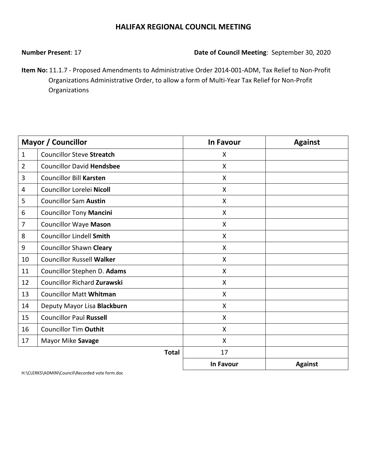**Number Present**: 17 **Date of Council Meeting**: September 30, 2020

**Item No:** 11.1.7 - Proposed Amendments to Administrative Order 2014-001-ADM, Tax Relief to Non-Profit Organizations Administrative Order, to allow a form of Multi-Year Tax Relief for Non-Profit Organizations

|                | <b>Mayor / Councillor</b>          | <b>In Favour</b>          | <b>Against</b> |
|----------------|------------------------------------|---------------------------|----------------|
| $\mathbf{1}$   | <b>Councillor Steve Streatch</b>   | X                         |                |
| $\overline{2}$ | <b>Councillor David Hendsbee</b>   | X                         |                |
| 3              | <b>Councillor Bill Karsten</b>     | $\mathsf{X}$              |                |
| 4              | Councillor Lorelei Nicoll          | $\boldsymbol{\mathsf{X}}$ |                |
| 5              | <b>Councillor Sam Austin</b>       | $\boldsymbol{\mathsf{X}}$ |                |
| 6              | <b>Councillor Tony Mancini</b>     | X                         |                |
| 7              | <b>Councillor Waye Mason</b>       | $\mathsf{X}$              |                |
| 8              | <b>Councillor Lindell Smith</b>    | $\boldsymbol{\mathsf{X}}$ |                |
| 9              | <b>Councillor Shawn Cleary</b>     | X                         |                |
| 10             | <b>Councillor Russell Walker</b>   | X                         |                |
| 11             | Councillor Stephen D. Adams        | $\mathsf{X}$              |                |
| 12             | <b>Councillor Richard Zurawski</b> | X                         |                |
| 13             | <b>Councillor Matt Whitman</b>     | X                         |                |
| 14             | Deputy Mayor Lisa Blackburn        | $\mathsf{X}$              |                |
| 15             | <b>Councillor Paul Russell</b>     | X                         |                |
| 16             | <b>Councillor Tim Outhit</b>       | X                         |                |
| 17             | Mayor Mike Savage                  | X                         |                |
|                | <b>Total</b>                       | 17                        |                |
|                |                                    | <b>In Favour</b>          | <b>Against</b> |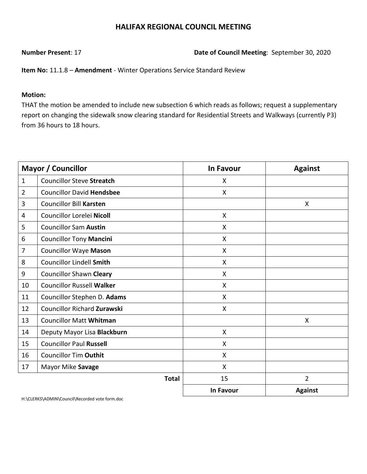**Number Present**: 17 **Date of Council Meeting**: September 30, 2020

**Item No:** 11.1.8 – **Amendment** - Winter Operations Service Standard Review

#### **Motion:**

THAT the motion be amended to include new subsection 6 which reads as follows; request a supplementary report on changing the sidewalk snow clearing standard for Residential Streets and Walkways (currently P3) from 36 hours to 18 hours.

|                | <b>Mayor / Councillor</b>        | <b>In Favour</b>          | <b>Against</b> |
|----------------|----------------------------------|---------------------------|----------------|
| $\mathbf{1}$   | <b>Councillor Steve Streatch</b> | X                         |                |
| $\overline{2}$ | <b>Councillor David Hendsbee</b> | X                         |                |
| 3              | <b>Councillor Bill Karsten</b>   |                           | X              |
| 4              | Councillor Lorelei Nicoll        | $\mathsf{X}$              |                |
| 5              | <b>Councillor Sam Austin</b>     | $\mathsf{X}$              |                |
| 6              | <b>Councillor Tony Mancini</b>   | X                         |                |
| $\overline{7}$ | <b>Councillor Waye Mason</b>     | X                         |                |
| 8              | <b>Councillor Lindell Smith</b>  | X                         |                |
| 9              | <b>Councillor Shawn Cleary</b>   | X                         |                |
| 10             | <b>Councillor Russell Walker</b> | X                         |                |
| 11             | Councillor Stephen D. Adams      | $\mathsf{X}$              |                |
| 12             | Councillor Richard Zurawski      | X                         |                |
| 13             | <b>Councillor Matt Whitman</b>   |                           | X              |
| 14             | Deputy Mayor Lisa Blackburn      | $\boldsymbol{\mathsf{X}}$ |                |
| 15             | <b>Councillor Paul Russell</b>   | X                         |                |
| 16             | <b>Councillor Tim Outhit</b>     | X                         |                |
| 17             | Mayor Mike Savage                | X                         |                |
|                | <b>Total</b>                     | 15                        | $\overline{2}$ |
|                |                                  | <b>In Favour</b>          | <b>Against</b> |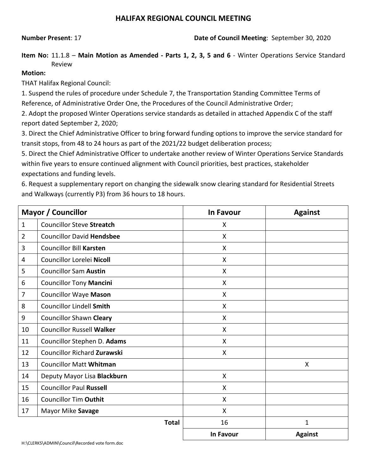**Number Present**: 17 **Date of Council Meeting**: September 30, 2020

**Item No:** 11.1.8 – **Main Motion as Amended - Parts 1, 2, 3, 5 and 6** - Winter Operations Service Standard Review

### **Motion:**

THAT Halifax Regional Council:

1. Suspend the rules of procedure under Schedule 7, the Transportation Standing Committee Terms of Reference, of Administrative Order One, the Procedures of the Council Administrative Order;

2. Adopt the proposed Winter Operations service standards as detailed in attached Appendix C of the staff report dated September 2, 2020;

3. Direct the Chief Administrative Officer to bring forward funding options to improve the service standard for transit stops, from 48 to 24 hours as part of the 2021/22 budget deliberation process;

5. Direct the Chief Administrative Officer to undertake another review of Winter Operations Service Standards within five years to ensure continued alignment with Council priorities, best practices, stakeholder expectations and funding levels.

6. Request a supplementary report on changing the sidewalk snow clearing standard for Residential Streets and Walkways (currently P3) from 36 hours to 18 hours.

|                | <b>Mayor / Councillor</b>          | <b>In Favour</b> | <b>Against</b> |
|----------------|------------------------------------|------------------|----------------|
| $\mathbf{1}$   | <b>Councillor Steve Streatch</b>   | X                |                |
| $\overline{2}$ | <b>Councillor David Hendsbee</b>   | Χ                |                |
| 3              | <b>Councillor Bill Karsten</b>     | X                |                |
| 4              | Councillor Lorelei Nicoll          | X                |                |
| 5              | <b>Councillor Sam Austin</b>       | Χ                |                |
| 6              | <b>Councillor Tony Mancini</b>     | X                |                |
| 7              | <b>Councillor Waye Mason</b>       | X                |                |
| 8              | <b>Councillor Lindell Smith</b>    | X                |                |
| 9              | <b>Councillor Shawn Cleary</b>     | X                |                |
| 10             | <b>Councillor Russell Walker</b>   | X                |                |
| 11             | Councillor Stephen D. Adams        | X                |                |
| 12             | <b>Councillor Richard Zurawski</b> | Χ                |                |
| 13             | <b>Councillor Matt Whitman</b>     |                  | X              |
| 14             | Deputy Mayor Lisa Blackburn        | Χ                |                |
| 15             | <b>Councillor Paul Russell</b>     | Χ                |                |
| 16             | <b>Councillor Tim Outhit</b>       | $\mathsf{X}$     |                |
| 17             | Mayor Mike Savage                  | Χ                |                |
|                | <b>Total</b>                       | 16               | $\mathbf{1}$   |
|                |                                    | In Favour        | <b>Against</b> |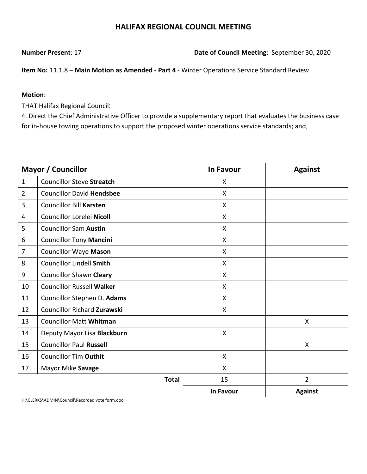**Number Present**: 17 **Date of Council Meeting**: September 30, 2020

**Item No:** 11.1.8 – **Main Motion as Amended - Part 4** - Winter Operations Service Standard Review

#### **Motion**:

THAT Halifax Regional Council:

4. Direct the Chief Administrative Officer to provide a supplementary report that evaluates the business case for in-house towing operations to support the proposed winter operations service standards; and,

|                | <b>Mayor / Councillor</b>          | <b>In Favour</b> | <b>Against</b> |
|----------------|------------------------------------|------------------|----------------|
| $\mathbf{1}$   | <b>Councillor Steve Streatch</b>   | X                |                |
| $\overline{2}$ | <b>Councillor David Hendsbee</b>   | X                |                |
| 3              | <b>Councillor Bill Karsten</b>     | X                |                |
| 4              | Councillor Lorelei Nicoll          | X                |                |
| 5              | <b>Councillor Sam Austin</b>       | X                |                |
| 6              | <b>Councillor Tony Mancini</b>     | X                |                |
| $\overline{7}$ | <b>Councillor Waye Mason</b>       | X                |                |
| 8              | <b>Councillor Lindell Smith</b>    | X                |                |
| 9              | <b>Councillor Shawn Cleary</b>     | X                |                |
| 10             | <b>Councillor Russell Walker</b>   | X                |                |
| 11             | Councillor Stephen D. Adams        | X                |                |
| 12             | <b>Councillor Richard Zurawski</b> | X                |                |
| 13             | <b>Councillor Matt Whitman</b>     |                  | X              |
| 14             | Deputy Mayor Lisa Blackburn        | $\mathsf{X}$     |                |
| 15             | <b>Councillor Paul Russell</b>     |                  | X              |
| 16             | <b>Councillor Tim Outhit</b>       | X                |                |
| 17             | Mayor Mike Savage                  | X                |                |
|                | <b>Total</b>                       | 15               | $\overline{2}$ |
|                |                                    | <b>In Favour</b> | <b>Against</b> |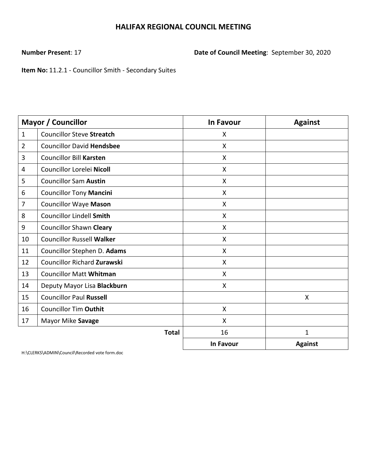**Number Present**: 17 **Date of Council Meeting**: September 30, 2020

**Item No:** 11.2.1 - Councillor Smith - Secondary Suites

|                | <b>Mayor / Councillor</b>          | <b>In Favour</b>          | <b>Against</b> |
|----------------|------------------------------------|---------------------------|----------------|
| $\mathbf{1}$   | <b>Councillor Steve Streatch</b>   | X                         |                |
| $\overline{2}$ | <b>Councillor David Hendsbee</b>   | $\boldsymbol{\mathsf{X}}$ |                |
| 3              | <b>Councillor Bill Karsten</b>     | X                         |                |
| 4              | Councillor Lorelei Nicoll          | X                         |                |
| 5              | <b>Councillor Sam Austin</b>       | $\mathsf{X}$              |                |
| 6              | <b>Councillor Tony Mancini</b>     | $\boldsymbol{\mathsf{X}}$ |                |
| 7              | <b>Councillor Waye Mason</b>       | $\mathsf{X}$              |                |
| 8              | <b>Councillor Lindell Smith</b>    | $\mathsf{X}$              |                |
| 9              | <b>Councillor Shawn Cleary</b>     | $\boldsymbol{\mathsf{X}}$ |                |
| 10             | <b>Councillor Russell Walker</b>   | $\boldsymbol{\mathsf{X}}$ |                |
| 11             | Councillor Stephen D. Adams        | X                         |                |
| 12             | <b>Councillor Richard Zurawski</b> | $\boldsymbol{\mathsf{X}}$ |                |
| 13             | <b>Councillor Matt Whitman</b>     | $\mathsf{X}$              |                |
| 14             | Deputy Mayor Lisa Blackburn        | X                         |                |
| 15             | <b>Councillor Paul Russell</b>     |                           | X              |
| 16             | <b>Councillor Tim Outhit</b>       | $\boldsymbol{\mathsf{X}}$ |                |
| 17             | Mayor Mike Savage                  | X                         |                |
|                | <b>Total</b>                       | 16                        | $\mathbf{1}$   |
|                |                                    | <b>In Favour</b>          | <b>Against</b> |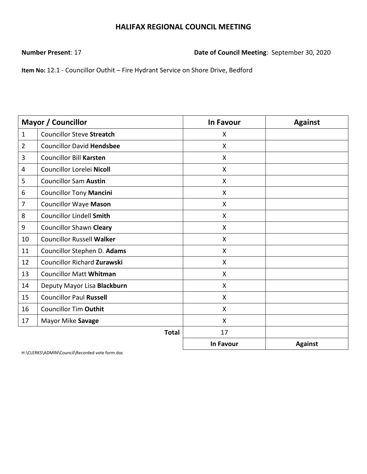**Number Present**: 17 **Date of Council Meeting**: September 30, 2020

**Item No:** 12.1 - Councillor Outhit – Fire Hydrant Service on Shore Drive, Bedford

|                | Mayor / Councillor                 | <b>In Favour</b>          | <b>Against</b> |
|----------------|------------------------------------|---------------------------|----------------|
| $\mathbf{1}$   | <b>Councillor Steve Streatch</b>   | X                         |                |
| $\overline{2}$ | <b>Councillor David Hendsbee</b>   | X                         |                |
| 3              | <b>Councillor Bill Karsten</b>     | X                         |                |
| 4              | Councillor Lorelei Nicoll          | X                         |                |
| 5              | <b>Councillor Sam Austin</b>       | X                         |                |
| 6              | <b>Councillor Tony Mancini</b>     | $\boldsymbol{\mathsf{X}}$ |                |
| $\overline{7}$ | <b>Councillor Waye Mason</b>       | X                         |                |
| 8              | <b>Councillor Lindell Smith</b>    | $\mathsf{X}$              |                |
| 9              | <b>Councillor Shawn Cleary</b>     | X                         |                |
| 10             | <b>Councillor Russell Walker</b>   | X                         |                |
| 11             | Councillor Stephen D. Adams        | X                         |                |
| 12             | <b>Councillor Richard Zurawski</b> | X                         |                |
| 13             | <b>Councillor Matt Whitman</b>     | $\mathsf{X}$              |                |
| 14             | Deputy Mayor Lisa Blackburn        | $\boldsymbol{\mathsf{X}}$ |                |
| 15             | <b>Councillor Paul Russell</b>     | $\mathsf{X}$              |                |
| 16             | <b>Councillor Tim Outhit</b>       | $\mathsf{X}$              |                |
| 17             | Mayor Mike Savage                  | $\boldsymbol{\mathsf{X}}$ |                |
|                | <b>Total</b>                       | 17                        |                |
|                |                                    | <b>In Favour</b>          | <b>Against</b> |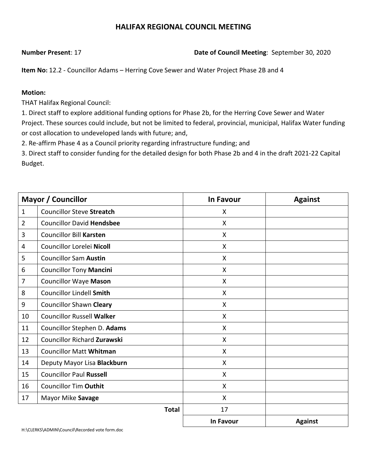### **Number Present**: 17 **Date of Council Meeting**: September 30, 2020

**Item No:** 12.2 - Councillor Adams – Herring Cove Sewer and Water Project Phase 2B and 4

#### **Motion:**

THAT Halifax Regional Council:

1. Direct staff to explore additional funding options for Phase 2b, for the Herring Cove Sewer and Water Project. These sources could include, but not be limited to federal, provincial, municipal, Halifax Water funding or cost allocation to undeveloped lands with future; and,

2. Re-affirm Phase 4 as a Council priority regarding infrastructure funding; and

3. Direct staff to consider funding for the detailed design for both Phase 2b and 4 in the draft 2021-22 Capital Budget.

| <b>Mayor / Councillor</b> |                                    | <b>In Favour</b>          | <b>Against</b> |
|---------------------------|------------------------------------|---------------------------|----------------|
| $\mathbf{1}$              | <b>Councillor Steve Streatch</b>   | X                         |                |
| $\overline{2}$            | <b>Councillor David Hendsbee</b>   | X                         |                |
| 3                         | <b>Councillor Bill Karsten</b>     | X                         |                |
| 4                         | Councillor Lorelei Nicoll          | X                         |                |
| 5                         | <b>Councillor Sam Austin</b>       | X                         |                |
| 6                         | <b>Councillor Tony Mancini</b>     | $\boldsymbol{\mathsf{X}}$ |                |
| $\overline{7}$            | <b>Councillor Waye Mason</b>       | $\mathsf{X}$              |                |
| 8                         | <b>Councillor Lindell Smith</b>    | X                         |                |
| 9                         | <b>Councillor Shawn Cleary</b>     | $\mathsf{X}$              |                |
| 10                        | <b>Councillor Russell Walker</b>   | X                         |                |
| 11                        | Councillor Stephen D. Adams        | X                         |                |
| 12                        | <b>Councillor Richard Zurawski</b> | $\boldsymbol{\mathsf{X}}$ |                |
| 13                        | <b>Councillor Matt Whitman</b>     | $\mathsf{X}$              |                |
| 14                        | Deputy Mayor Lisa Blackburn        | $\boldsymbol{\mathsf{X}}$ |                |
| 15                        | <b>Councillor Paul Russell</b>     | X                         |                |
| 16                        | <b>Councillor Tim Outhit</b>       | X                         |                |
| 17                        | Mayor Mike Savage                  | $\mathsf{X}$              |                |
|                           | <b>Total</b>                       | 17                        |                |
|                           |                                    | <b>In Favour</b>          | <b>Against</b> |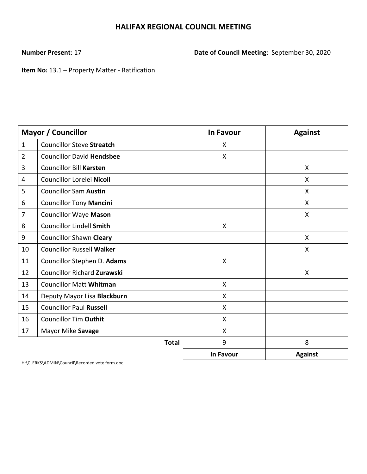**Number Present**: 17 **Date of Council Meeting**: September 30, 2020

**Item No:** 13.1 – Property Matter - Ratification

| <b>Mayor / Councillor</b> |                                    | <b>In Favour</b>          | <b>Against</b> |
|---------------------------|------------------------------------|---------------------------|----------------|
| $\mathbf{1}$              | <b>Councillor Steve Streatch</b>   | X                         |                |
| $\overline{2}$            | <b>Councillor David Hendsbee</b>   | $\boldsymbol{\mathsf{X}}$ |                |
| 3                         | <b>Councillor Bill Karsten</b>     |                           | X              |
| 4                         | Councillor Lorelei Nicoll          |                           | X              |
| 5                         | <b>Councillor Sam Austin</b>       |                           | X              |
| 6                         | <b>Councillor Tony Mancini</b>     |                           | X              |
| $\overline{7}$            | <b>Councillor Waye Mason</b>       |                           | X              |
| 8                         | <b>Councillor Lindell Smith</b>    | X                         |                |
| 9                         | <b>Councillor Shawn Cleary</b>     |                           | X              |
| 10                        | <b>Councillor Russell Walker</b>   |                           | X              |
| 11                        | Councillor Stephen D. Adams        | X                         |                |
| 12                        | <b>Councillor Richard Zurawski</b> |                           | X              |
| 13                        | <b>Councillor Matt Whitman</b>     | $\mathsf{X}$              |                |
| 14                        | Deputy Mayor Lisa Blackburn        | $\boldsymbol{\mathsf{X}}$ |                |
| 15                        | <b>Councillor Paul Russell</b>     | $\mathsf{X}$              |                |
| 16                        | <b>Councillor Tim Outhit</b>       | X                         |                |
| 17                        | Mayor Mike Savage                  | $\mathsf{X}$              |                |
|                           | <b>Total</b>                       | 9                         | 8              |
|                           |                                    | <b>In Favour</b>          | <b>Against</b> |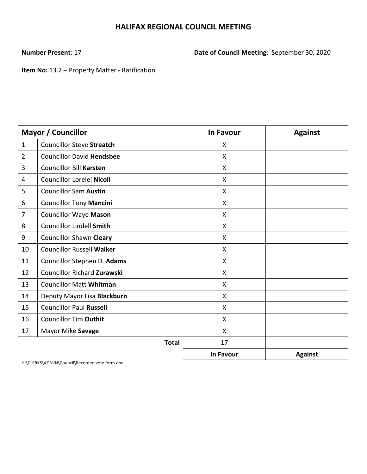**Number Present**: 17 **Date of Council Meeting**: September 30, 2020

**Item No:** 13.2 – Property Matter - Ratification

|                | Mayor / Councillor                 | <b>In Favour</b>          | <b>Against</b> |
|----------------|------------------------------------|---------------------------|----------------|
| $\mathbf{1}$   | <b>Councillor Steve Streatch</b>   | X                         |                |
| $\overline{2}$ | <b>Councillor David Hendsbee</b>   | X                         |                |
| 3              | <b>Councillor Bill Karsten</b>     | X                         |                |
| 4              | Councillor Lorelei Nicoll          | X                         |                |
| 5              | <b>Councillor Sam Austin</b>       | $\boldsymbol{\mathsf{X}}$ |                |
| 6              | <b>Councillor Tony Mancini</b>     | X                         |                |
| $\overline{7}$ | <b>Councillor Waye Mason</b>       | $\mathsf{X}$              |                |
| 8              | <b>Councillor Lindell Smith</b>    | $\mathsf{X}$              |                |
| 9              | <b>Councillor Shawn Cleary</b>     | $\mathsf{X}$              |                |
| 10             | <b>Councillor Russell Walker</b>   | X                         |                |
| 11             | Councillor Stephen D. Adams        | X                         |                |
| 12             | <b>Councillor Richard Zurawski</b> | X                         |                |
| 13             | <b>Councillor Matt Whitman</b>     | X                         |                |
| 14             | Deputy Mayor Lisa Blackburn        | $\boldsymbol{\mathsf{X}}$ |                |
| 15             | <b>Councillor Paul Russell</b>     | $\mathsf{X}$              |                |
| 16             | <b>Councillor Tim Outhit</b>       | $\mathsf{X}$              |                |
| 17             | Mayor Mike Savage                  | $\boldsymbol{\mathsf{X}}$ |                |
|                | <b>Total</b>                       | 17                        |                |
|                |                                    | <b>In Favour</b>          | <b>Against</b> |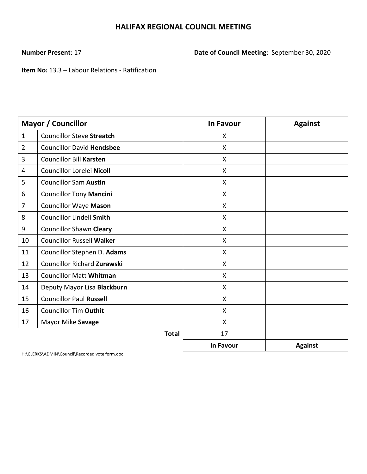**Number Present**: 17 **Date of Council Meeting**: September 30, 2020

**Item No:** 13.3 – Labour Relations - Ratification

| Mayor / Councillor |                                    | <b>In Favour</b>          | <b>Against</b> |
|--------------------|------------------------------------|---------------------------|----------------|
| $\mathbf{1}$       | <b>Councillor Steve Streatch</b>   | X                         |                |
| $\overline{2}$     | <b>Councillor David Hendsbee</b>   | X                         |                |
| 3                  | <b>Councillor Bill Karsten</b>     | X                         |                |
| 4                  | Councillor Lorelei Nicoll          | X                         |                |
| 5                  | <b>Councillor Sam Austin</b>       | $\boldsymbol{\mathsf{X}}$ |                |
| 6                  | <b>Councillor Tony Mancini</b>     | X                         |                |
| 7                  | <b>Councillor Waye Mason</b>       | X                         |                |
| 8                  | <b>Councillor Lindell Smith</b>    | $\mathsf{X}$              |                |
| 9                  | <b>Councillor Shawn Cleary</b>     | X                         |                |
| 10                 | <b>Councillor Russell Walker</b>   | X                         |                |
| 11                 | Councillor Stephen D. Adams        | $\mathsf{X}$              |                |
| 12                 | <b>Councillor Richard Zurawski</b> | $\boldsymbol{\mathsf{X}}$ |                |
| 13                 | <b>Councillor Matt Whitman</b>     | $\mathsf{X}$              |                |
| 14                 | Deputy Mayor Lisa Blackburn        | $\mathsf{X}$              |                |
| 15                 | <b>Councillor Paul Russell</b>     | $\boldsymbol{\mathsf{X}}$ |                |
| 16                 | <b>Councillor Tim Outhit</b>       | X                         |                |
| 17                 | Mayor Mike Savage                  | $\mathsf{X}$              |                |
|                    | <b>Total</b>                       | 17                        |                |
|                    |                                    | <b>In Favour</b>          | <b>Against</b> |